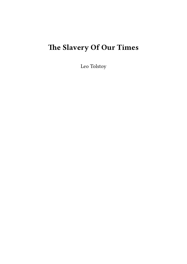# **The Slavery Of Our Times**

Leo Tolstoy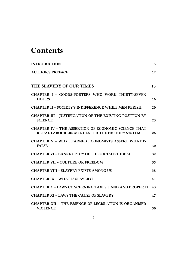### **Contents**

| <b>INTRODUCTION</b>                                                                                                | 5  |
|--------------------------------------------------------------------------------------------------------------------|----|
| <b>AUTHOR'S PREFACE</b>                                                                                            | 12 |
| <b>THE SLAVERY OF OUR TIMES</b>                                                                                    | 15 |
| CHAPTER I - GOODS-PORTERS WHO WORK THIRTY-SEVEN<br><b>HOURS</b>                                                    | 16 |
| <b>CHAPTER II - SOCIETY'S INDIFFERENCE WHILE MEN PERISH</b>                                                        | 20 |
| <b>CHAPTER III - JUSTIFICATION OF THE EXISTING POSITION BY</b><br><b>SCIENCE</b>                                   | 23 |
| <b>CHAPTER IV - THE ASSERTION OF ECONOMIC SCIENCE THAT</b><br><b>RURAL LABOURERS MUST ENTER THE FACTORY SYSTEM</b> | 26 |
| <b>CHAPTER V - WHY LEARNED ECONOMISTS ASSERT WHAT IS</b><br><b>FALSE</b>                                           | 30 |
| <b>CHAPTER VI - BANKRUPTCY OF THE SOCIALIST IDEAL</b>                                                              | 32 |
| <b>CHAPTER VII - CULTURE OR FREEDOM</b>                                                                            | 35 |
| <b>CHAPTER VIII – SLAVERY EXISTS AMONG US</b>                                                                      | 38 |
| <b>CHAPTER IX - WHAT IS SLAVERY?</b>                                                                               | 41 |
| <b>CHAPTER X - LAWS CONCERNING TAXES, LAND AND PROPERTY</b>                                                        | 43 |
| <b>CHAPTER XI - LAWS THE CAUSE OF SLAVERY</b>                                                                      | 47 |
| <b>CHAPTER XII - THE ESSENCE OF LEGISLATION IS ORGANISED</b><br><b>VIOLENCE</b>                                    | 50 |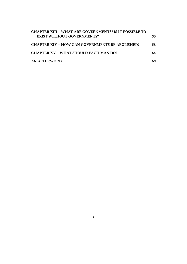| <b>CHAPTER XIII – WHAT ARE GOVERNMENTS? IS IT POSSIBLE TO</b> |    |
|---------------------------------------------------------------|----|
| <b>EXIST WITHOUT GOVERNMENTS?</b>                             | 53 |
|                                                               |    |
| <b>CHAPTER XIV – HOW CAN GOVERNMENTS BE ABOLISHED?</b>        | 58 |
|                                                               |    |
| CHAPTER XV – WHAT SHOULD EACH MAN DO?                         | 64 |
|                                                               |    |
| <b>AN AFTERWORD</b>                                           | 69 |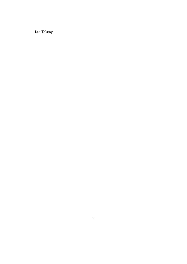Leo Tolstoy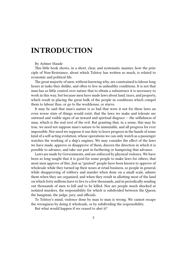### **INTRODUCTION**

By Aylmer Maude

This little book shows, in a short, clear, and systematic manner, how the principle of Non-Resistance, about which Tolstoy has written so much, is related to economic and political life.

The great majority of men, without knowing why, are constrained to labour long hours at tasks they dislike, and often to live in unhealthy conditions. It is not that man has so little control over nature that to obtain a subsistence it is necessary to work in this way, but because men have made laws about land, taxes, and property, which result in placing the great bulk of the people in conditions which compel them to labour thus, or go to the workhouse, or starve.

It may be said that man's nature is so bad that were it not for these laws an even worse state of things would exist; that the laws we make and tolerate are outward and visible signs of an inward and spiritual disgrace -- the selfishness of man, which is the real root of the evil. But granting that, in a sense, this may be true, we need not suppose man's nature to be immutable, and all progress for ever impossible. Nor need we suppose it our duty to leave progress in the hands of some kind of a self-acting evolution, whose operations we can only watch as a passenger watches the working of a ship's engines. We may consider the effect of the laws we have made, approve or disapprove of them, discern the direction in which it is possible to advance, and take our part in furthering or hampering that advance.

Laws are made by Governments, and are enforced by physical violence. We have been so long taught that it is good for some people to make laws for others, that most men approve of this. Just as "genteel" people have been known to approve of wholesale while they turned up their noses at retail business, so people in general, while disapproving of robbery and murder when done on a small scale, admire them when they are organised, and when they result in allotting most of the land on which forty millions have to live to a few thousands, and in periodically sending out thousands of men to kill and to be killed. Nor are people much shocked at isolated murders, the responsibility for which is subdivided between the Queen, the hangman, the judge, jury, and officials.

To Tolstoy's mind, violence done by man to man is wrong. We cannot escape the wrongness by doing it wholesale, or by subdividing the responsibility.

But what would happen if we ceased to abet it?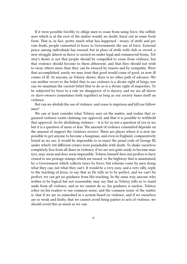If it were possible forcibly to oblige men to cease from using force, the selfishness which is at the root of the matter would, no doubt, burst out in some fresh form. That is, in fact, pretty much what has happened : weary of strife and private feuds, people consented to leave to Governments the use of force. External peace among individuals has ensued, but in place of strife with club or sword, a new struggle almost as fierce is carried on under legal and commercial forms, Tolstoy's desire is not that people should be compelled to cease from violence, but that violence should become to them abhorrent, and that they should not wish to sway others more than they can be swayed by reason and by sympathy. Were that accomplished, surely we may trust that good would come of good, as now ill comes of ill. At anyrate, as Tolstoy shows, there is no other path of advance. We can neither revert to the belief that to use violence is a divine right of kings, nor can we maintain the current belief that to do so is a divine right of majorities. To be subjected by force to a rule we disapprove of is slavery, and we are all slaves or slave-owners (sometimes both together) as long as our society bases itself on violence.

But can we abolish the use of violence, and cease to imprison and kill our fellowmen?

We can at least consider what Tolstoy says on the matter, and realise that organised violence exists claiming our approval, and that it is possible to withhold that approval. As for abolishing violence -- it is for us not a question of yes or no, but it is a question of more or less. The amount of violence committed depends on the amount of support the violators receive. There are places where it is now impossible to get anyone to become a hangman, and even in England, comparatively brutal as we are, it would be impossible to re-enact the penal code of George III, under which 160 different crimes were punishable with death. To shake ourselves completely free from all share in violence, if we are not quite ready to become martyrs, may seem and does seem impossible. Tolstoy himself does not profess to have ceased to use postage-stamps which are issued, or the highway that is maintained, by a Government which collects taxes by force; but reforms come by men doing what they can, not what they can't. It would be a very easy, and a very silly, reply to the teaching of Jesus, to say that as He tells us to be perfect, and we can't be perfect, we can get no guidance from His teaching. In the same way anyone who wishes to be logical but not reasonable, may say that as Tolstoy tells us to stand aside from all violence, and as we cannot do so, his guidance is useless. Tolstoy relies on his readers to use common sense, and the common sense of the matter is, that if we are so enmeshed in a system based on violence, and if we ourselves are so weak and faulty, that we cannot avoid being parties to acts of violence, we should avoid this as much as we can.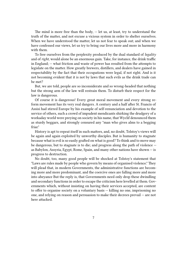The mind is more free than the body, -- let us, at least, try to understand the truth of the matter, and not excuse a vicious system in order to shelter ourselves. When we have understood the matter, let us not fear to speak out; and when we have confessed our views, let us try to bring our lives more and more in harmony with them.

To free ourselves from the perplexity produced by the dual standard of *legality* and of *right*, would alone be an enormous gain. Take, for instance, the drink traffic in England; -- what friction and waste of power has resulted from the attempts to legislate on the matter. How greatly brewers, distillers, and dealers have gained in respectability by the fact that their occupations were legal, if not right. And is it not becoming evident that it is not by laws that such evils as the drink trade can be met?

But, we are told, people are so inconsiderate and so wrong-headed that nothing but the strong arm of the law will restrain them. To disturb their respect for the law is dangerous.

Of course it is dangerous! Every great moral movement and every strong reform movement has its very real dangers. A century and a half after St. Francis of Assisi had stirred Europe by his example of self-renunciation and devotion to the service of others, such a crowd of impudent mendicants shirking the drudgery of a workaday world were preying on society in his name, that Wyclif denounced them as sturdy beggars, and strongly censured any "man who gives alms to a begging friar."

History is apt to repeat itself in such matters, and, no doubt, Tolstoy's views will be again and again exploited by unworthy disciples. But is humanity to stagnate because what is evil is so easily grafted on what is good? To think and to move may be dangerous, but to stagnate is to die; and progress along the path of violence - as Babylon, Assyria, Egypt, Rome, Spain, and many other nations have shown -- is progress to destruction.

No doubt, too, many good people will be shocked at Tolstoy's statement that "Laws are rules made by people who govern by means of organised violence." They will plead that, in modern Governments, the administrative functions are becoming more and more predominant, and the coercive ones are falling more and more into abeyance But the reply is, that Governments need only drop these dwindling and secondary functions in order to escape the criticism here levelled at them. Governments which, without insisting on having their services accepted, are content to offer to organise society on a voluntary basis -- killing no one, imprisoning no one, and relying on reason and persuasion to make their decrees prevail -- are not here attacked.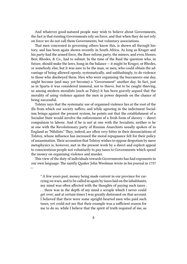And whatever good-natured people may wish to believe about Governments, the fact is that existing Governments rely on force, and that when they do not rely on force we do not call them Governments, but voluntary associations.

That men concerned in governing others know this, is shown all through history, and has been again shown recently in South Africa. As long as Kruger and his party had the armed force, the Boer reform party, the miners, and eveu Messrs. Beit, Rhodes, & Co., had to submit. In the time of the Raid the question who, in future, should make the laws, hung in the balance -- it might be Kruger, or Rhodes, or somebody else; but it was sure to be the man, or men, who could obtain the advantage of being allowed openly, systematically, and unblushingly, to do violence to those who disobeyed them. Men who were organising the buccaneers one day, might become (and may yet become) a "Government" another day. In fact, just as in Sparta it was considered immoral, not to thieve, but to be caught thieving, so among modern moralists (such as Paley) it has been gravely argued that the morality of using violence against the men in power depends on the chance of being successful.

Tolstoy says that the systematic use of organised violence lies at the root of the ills from which our society suffers; and while agreeing in the indictment Socialism brings against the present system, he points out that the establishment of a Socialist State would involve the enforcement of a fresh form of slavery -- direct compulsion to labour. And if he is not at one with the Socialists, neither is he at one with the Revolutionary party of Russian Anarchists usually spoken of in England as "Nihilists." They, indeed, are often very bitter in their denunciations of Tolstoy, whose influence has increased the moral repugnance felt for their policy of assassination. Their accusation that Tolstoy wishes to oppose despotism by mere metaphysics is, however, met in the present work by a direct and explicit appeal to conscientious people not voluntarily to pay taxes to Governments which spend the money on organising violence and murder.

This view of the duty of individuals towards Governments has had exponents in our own language. The saintly Quaker John Woolman wrote in his journal in 1757 --

" A few years past, money being made current in our province for carrying on wars, and to be called in again by taxes laid on the inhabitants, my mind was often affected with the thoughts of paying such taxes . . . there was in the depth of my mind a scruple which I never could get over; and at certain times I was greatly distressed on that account. I believed that there were some upright-hearted men who paid such taxes, yet could not see that their example was a sufficient reason for me to do so, while I believe that the spirit of truth required of me, as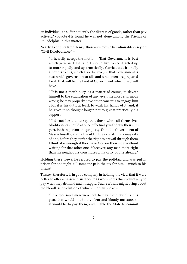an individual, to suffer patiently the distress of goods, rather than pay actively." </quote>He found he was not alone among the Friends of Philadelphia in this matter.

Nearly a century later Henry Thoreau wrote in his admirable essay on "Civil Disobedience" --

" I heartily accept the motto -- 'That Government is best which governs least'; and I should like to see it acted up to more rapidly and systematically. Carried out, it finally amounts to this, which also I believe, -- 'That Government is best which governs not at all'; and when men are prepared for it, that will be the kind of Government which they will have. . . .

" It is not a man's duty, as a matter of course, to devote himself to the eradication of any, even the most enormous wrong; he may properly have other concerns to engage him ; but it is his duty, at least, to wash his hands of it, and, if he gives it no thought longer, not to give it practically his support.

" I do not hesitate to say that those who call themselves Abolitionists should at once effectually withdraw their support, both in person and property, from the Government of Massachusetts, and not wait till they constitute a majority of one, before they surfer the right to prevail through them. I think it is enough if they have God on their side, without waiting for that other one. Moreover, any man more right than his neighbours constitutes a majority of one already."

Holding these views, he refused to pay the poll-tax, and was put in prison for one night, till someone paid the tax for him -- much to his disgust.

Tolstoy, therefore, is in good company in holding the view that it were better to offer a passive resistance to Governments than voluntarily to pay what they demand and misapply. Such refusals might bring about the bloodless revolution of which Thoreau spoke --

" If a thousand men were not to pay their tax bills this year, that would not be a violent and bloody measure, as it would be to pay them, and enable the State to commit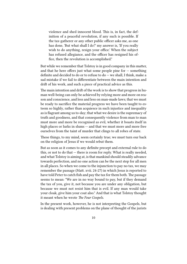violence and shed innocent blood. This is, in fact, the definition of a peaceful revolution, if any such is possible. If the tax-gatherer or any other public officer asks me, as one has done, 'But what shall I do?' my answer is, 'If you really wish to do anything, resign your office.' When the subject has refused allegiance, and the officer has resigned his office, then the revolution is accomplished."

But while we remember that Tolstoy is in good company in this matter, and that he here offers just what some people pine for -- something definite and decided to do or to refuse to do -- we shall, I think, make a sad mistake if we fail to differentiate between the main intention and drift of his work, and such a piece of practical advice as this.

The main intention and drift of the work is to show that progress in human well-being can only be achieved by relying more and more on reason and conscience, and less and less on man-made laws; that we must be ready to sacrifice the material progress we have been taught to esteem so highly, rather than acquiesce in such injustice and inequality as is flagrant among us to-day; that what we desire is the supremacy of truth and goodness, and that consequently violence from man to man must more and more be recognised as evil, whether it boasts itself in high places or lurks in slums -- and that we must more and more free ourselves from the taint of murder that clings to all robes of state.

These things, to my mind, seem certainly true; we must turn our back on the religion of Jesus if we would rebut them.

But as soon as it comes to any definite precept and external rule to do this, or not to do that -- there is room for reply. What is really needed, and what Tolstoy is aiming at, is that mankind should steadily advance towards perfection, and no one action can be the next step for all men in all places. So when we come to the injunction to pay no tax, we may remember the passage (Matt. xvii. 24-27) in which Jesus is reported to have told Peter to catch fish and pay the tax for them both. The passage seems to mean: "We are in no way bound to pay, but if they demand the tax of you, give it, not because you are under any obligation, but because we must not resist him that is evil. If any man would take your cloak, give him your coat also." And that is what Tolstoy thought it meant when he wrote *The Four Gospels*.

In the present work, however, he is not interpreting the Gospels, but is dealing with present problems on the plane of thought of the jurists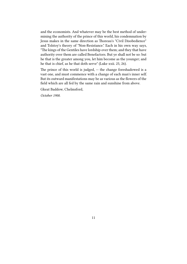and the economists. And whatever may be the best method of undermining the authority of the prince of this world, his condemnation by Jesus makes in the same direction as Thoreau's "Civil Disobedience" and Tolstoy's theory of "Non-Resistance." Each in his own way says, "The kings of the Gentiles have lordship over them; and they that have authority over them are called Benefactors. But ye shall not be so: but he that is the greater among you, let him become as the younger; and he that is chief, as he that doth serve" (Luke xxii. 25, 26).

The prince of this world is judged, -- the change foreshadowed is a vast one, and must commence with a change of each man's inner self. But its outward manifestations may be as various as the flowers of the field which are all fed by the same rain and sunshine from above.

Gkeat Baddow, Chelmsford,

*October 1900*.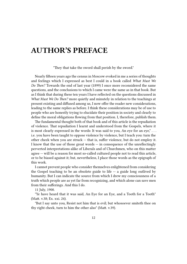### <span id="page-11-0"></span>**AUTHOR'S PREFACE**

"They that take the sword shall perish by the sword."

Nearly fifteen years ago the census in Moscow evoked in me a series of thoughts and feelings which I expressed as best I could in a book called *What Must We Do Then?* Towards the end of last year (1899) I once more reconsidered the same questions, and the conclusions to which I came were the same as in that book. But as I think that during these ten years I have reflected on the questions discussed in *What Must We Do Then?* more quietly and minutely in relation to the teachings at present existing and diffused among us, I now offer the reader new considerations, leading to the same replies as before. I think these considerations may be of use to people who are honestly trying to elucidate their position in society and clearly to define the moral obligations flowing from that position. I, therefore, publish them.

The fundamental thought both of that book and of this article is the repudiation of violence. That repudiation I learnt and understood from the Gospels, where it is most clearly expressed in the words: It was said to you, An eye for an eye," ... i.e. you have been taught to oppose violence by violence, but I teach you: turn the other cheek when you are struck -- that is, suffer violence, but do not employ it. I know that the use of those great words -- in consequence of the unreflectingly perverted interpretations alike of Liberals and of Churchmen, who on this matter agree -- will be a reason for most so-called cultured people not to read this article, or to be biased against it; but, nevertheless, I place those words as the epigraph of this work.

I cannot prevent people who consider themselves enlightened from considering the Gospel teaching to be an obsolete guide to life -- a guide long outlived by humanity. But I can indicate the source from which I drew my consciousness of a truth which people are as yet far from recognizing, and which alone can save men from their sufferings. And this I do.

11 July, 1900.

"Ye have heard that it was said, An Eye for an Eye, and a Tooth for a Tooth" (Matt. v.38; Ex. xxi. 24).

"But I say unto you, Resist not him that is evil; but whosoever smiteth thee on thy right cheek, turn to him the other also" (Matt. v.39).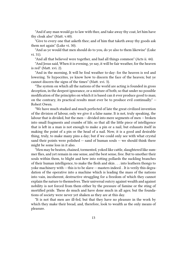"And if any man would go to law with thee, and take away thy coat, let him have thy cloak also" (Matt. v.40).

"Give to every one that asketh thee; and of him that taketh away thy goods ask them not again" (Luke vi. 30).

"And as ye would that men should do to you, do ye also to them likewise" (Luke vi. 31).

"And all that believed were together, and had all things common" (Acts ii. 44).

"And Jesus said, When it is evening, ye say, it will be fair weather, for the heaven is red" (Matt. xvi. 2).

"And in the morning, It will be foul weather to-day: for the heaven is red and lowering. Ye hypocrites, ye know how to discern the face of the heaven; but ye cannot discern the signs of the times" (Matt. xvi. 3).

"The system on which all the nations of the world are acting is founded in gross deception, in the deepest ignorance, or a mixture of both; so that under no possible modification of the principles on which it is based can it ever produce good to man; on the contrary, its practical results must ever be to produce evil continually." -- Robert Owen.

"We have much studied and much perfected of late the great civilized invention of the division of labour, only we give it a false name. It is not, truly speaking, the labour that is divided, but the men -- divided into mere segments of men -- broken into small fragments and crumbs of life; so that all the little piece of intelligence that is left in a man is not enough to make a pin or a nail, but exhausts itself in making the point of a pin or the head of a nail. Now, it is a good and desirable thing, truly, to make many pins a day; but if we could only see with what crystal sand their points were polished -- sand of human souls -- we should think there might be some loss in it also.

"Men may be beaten, chained, tormented, yoked like cattle, slaughtered like summer flies, and yet remain in one sense, and the best sense, free. But to smother their souls within them, to blight and hew into rotting pollards the suckling branches of their human intelligence, to make the flesh and skin . . . into leathern thongs to yoke machinery with -- this is to be slave -- masters indeed. . It is verily this degradation of the operative into a machine which is leading the mass of the nations into vain, incoherent, destructive struggling for a freedom of which they cannot explain the nature to themselves. Their universal outcry against wealth and against nobility is not forced from them either by the pressure of famine or the sting of mortified pride. These do much and have done much in all ages; but the foundations of society were never yet shaken as they are at this day.

"It is not that men are ill-fed, but that they have no pleasure in the work by which they make their bread, and, therefore, look to wealth as the only means of pleasure.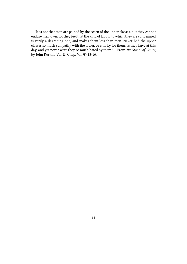"It is not that men are pained by the scorn of the upper classes, but they cannot endure their own; for they feel that the kind of labour to which they are condemned is verily a degrading one, and makes them less than men. Never had the upper classes so much sympathy with the lower, or charity for them, as they have at this day, and yet never were they so much hated by them." -- From *The Stones of Venice*, by John Ruskin, Vol. II, Chap. VI., §§ 13-16.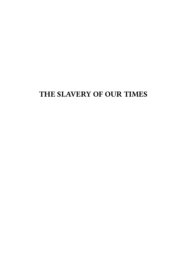## <span id="page-14-0"></span>**THE SLAVERY OF OUR TIMES**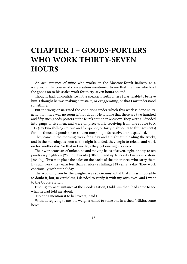### <span id="page-15-0"></span>**CHAPTER I – GOODS-PORTERS WHO WORK THIRTY-SEVEN HOURS**

An acquaintance of mine who works on the Moscow-Kursk Railway as a weigher, in the course of conversation mentioned to me that the men who load the goods on to his scales work for thirty-seven hours on end.

Though I had full confidence in the speaker's truthfulness I was unable to believe him. I thought he was making a mistake, or exaggerating, or that I misunderstood something.

But the weigher narrated the conditions under which this work is done so exactly that there was no room left for doubt. He told me that there are two hundred and fifty such goods-porters at the Kursk station in Moscow. They were all divided into gangs of five men, and were on piece-work, receiving from one rouble to R. 1.15 (say two shillings to two and fourpence, or forty-eight cents to fifty-six cents) for one thousand poods (over sixteen tons) of goods received or dispatched.

They come in the morning, work for a day and a night at unloading the trucks, and in the morning, as soon as the night is ended, they begin to reload, and work on for another day. So that in two days they get one night's sleep.

Their work consists of unloading and moving bales of seven, eight, and up to ten poods (say eighteen [253 lb.], twenty [280 lb.], and up to nearly twenty-six stone [364 lb.]). Two men place the bales on the backs of the other three who carry them. By such work they earn less than a ruble (2 shillings [48 cents] a day. They work continually without holiday.

The account given by the weigher was so circumstantial that it was impossible to doubt it, but, nevertheless, I decided to verify it with my own eyes, and I went to the Goods Station.

Finding my acquaintance at the Goods Station, I told him that I had come to see what he had told me about.

"No one I mention it to believes it," said I.

Without replying to me, the weigher called to some one in a shed. "Nikita, come here."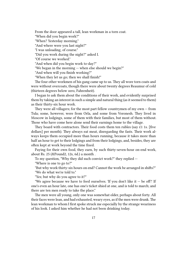From the door appeared a tall, lean workman in a torn coat.

"When did you begin work?"

"When? Yesterday morning."

"And where were you last night?"

"I was unloading, of course."

"Did you work during the night?" asked I.

"Of course we worked."

"And when did you begin work to-day?"

"We began in the morning -- when else should we begin?"

"And when will you finish working?"

"When they let us go; then we shall finish!"

The four other workmen of his gang came up to us. They all wore torn coats and were without overcoats, though there were about twenty degrees Reaumur of cold (thirteen degrees below zero, Fahrenheit).

I began to ask them about the conditions of their work, and evidently surprised them by taking an interest in such a simple and natural thing (as it seemed to them) as their thirty-six hour work.

They were all villagers; for the most part fellow countrymen of my own -- from Tula; some, however, were from Orla, and some from Voronesh. They lived in Moscow in lodgings, some of them with their families, but most of them without. Those who have come here alone send their earnings home to the village.

They board with contractors. Their food costs them ten rubles (say  $£1$  1s. [five dollars] per month). They always eat meat, disregarding the fasts. Their work always keeps them occupied more than hours running, because it takes more than half an hour to get to their lodgings and from their lodgings, and, besides, they are often kept at work beyond the time fixed.

Paying for their own food, they earn, by such thirty-seven-hour on-end work, about Rs. 25 (&Pound2, 12s, 6d.) a month .

To my question, "Why they did such convict work?" they replied --

"Where is one to go to?"

"But why work thirty-six hours on end? Cannot the work be arranged in shifts?" "We do what we're told to."

"Yes; but why do you agree to it?"

"We agree because we have to feed ourselves. 'If you don't like it -- be off!' If one's even an hour late, one has one's ticket shied at one, and is told to march; and there are ten men ready to take the place."

The men were all young, only one was somewhat older, perhaps about forty. All their faces were lean, and had exhausted, weary eyes, as if the men were drunk. The lean workman to whom I first spoke struck me especially by the strange weariness of his look. I asked him whether he had not been drinking today.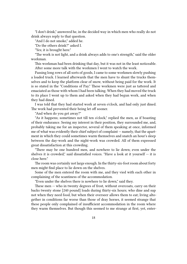"I don't drink," answered he, in the decided way in which men who really do not drink always reply to that question.

"And I do not smoke," added he.

"Do the others drink?" asked I.

"Yes; it is brought here."

"The work is not light, and a drink always adds to one's strength," said the older workman.

This workman had been drinking that day, but it was not in the least noticeable. After some more talk with the workmen I went to watch the work.

Passing long rows of all sorts of goods, I came to some workmen slowly pushing a loaded truck. I learned afterwards that the men have to shunt the trucks themselves and to keep the platform clear of snow, without being paid for the work. It is so stated in the "Conditions of Pay." These workmen were just as tattered and emaciated as those with whom I had been talking. When they had moved the truck to its place I went up to them and asked when they had begun work, and when they had dined.

I was told that they had started work at seven o'clock, and had only just dined. The work had prevented their being let off sooner.

"And when do you get away?"

"As it happens; sometimes not till ten o'clock," replied the men, as if boasting of their endurance. Seeing my interest in their position, they surrounded me, and, probably taking me for an inspector, several of them speaking at once, informed me of what was evidently their chief subject of complaint -- namely, that the apartment in which they could sometimes warm themselves and snatch an hour's sleep between the day-work and the night-work was crowded. All of them expressed great dissatisfaction at this crowding.

"There may be one hundred men, and nowhere to lie down; even under the shelves it is crowded," said dissatisfied voices. "Have a look at it yourself -- it is close here."

The room was certainly not large enough. In the thirty-six-foot room about forty men might find place to lie down on the shelves.

Some of the men entered the room with me, and they vied with each other in complaining of the scantiness of the accommodation.

"Even under the shelves there is nowhere to lie down," said they.

These men -- who in twenty degrees of frost, without overcoats, carry on their backs twenty stone [240 pound] loads during thirty-six hours; who dine and sup not when they need food, but when their overseer allows them to eat; living altogether in conditions far worse than those of dray horses, it seemed strange that these people only complained of insufficient accommodation in the room where they warm themselves. But though this seemed to me strange at first, yet, enter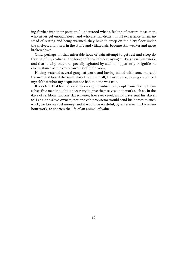ing further into their position, I understood what a feeling of torture these men, who never get enough sleep, and who are half-frozen, must experience when, instead of resting and being warmed, they have to creep on the dirty floor under the shelves, and there, in the stuffy and vitiated air, become still weaker and more broken down.

Only, perhaps, in that miserable hour of vain attempt to get rest and sleep do they painfully realize all the horror of their life-destroying thirty-seven-hour work, and that is why they are specially agitated by such an apparently insignificant circumstance as the overcrowding of their room.

Having watched several gangs at work, and having talked with some more of the men and heard the same story from them all, I drove home, having convinced myself that what my acquaintance had told me was true.

It was true that for money, only enough to subsist on, people considering themselves free men thought it necessary to give themselves up to work such as, in the days of serfdom, not one slave-owner, however cruel, would have sent his slaves to. Let alone slave-owners, not one cab-proprietor would send his horses to such work, for horses cost money, and it would be wasteful, by excessive, thirty-sevenhour work, to shorten the life of an animal of value.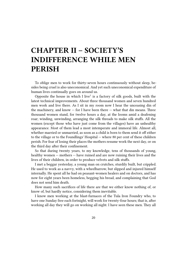## <span id="page-19-0"></span>**CHAPTER II – SOCIETY'S INDIFFERENCE WHILE MEN PERISH**

To oblige men to work for thirty-seven hours continuously without sleep, besides being cruel is also uneconomical. And yet such uneconomical expenditure of human lives continually goes on around us.

Opposite the house in which I live<sup>1</sup> is a factory of silk goods, built with the latest technical improvements. About three thousand women and seven hundred men work and live there. As I sit in my room now I hear the unceasing din of the machinery, and know -- for I have been there -- what that din means. Three thousand women stand, for twelve hours a day, at the looms amid a deafening roar; winding, unwinding, arranging the silk threads to make silk stuffs. All the women (except those who have just come from the villages) have an unhealthy appearance. Most of them lead a most intemperate and immoral life. Almost all, whether married or unmarried, as soon as a child is born to them send it off either to the village or to the Foundlings' Hospital -- where 80 per cent of these children perish. For fear of losing their places the mothers resume work the next day, or on the third day after their confinement.

So that during twenty years, to my knowledge, tens of thousands of young, healthy women -- mothers -- have ruined and are now ruining their lives and the lives of their children, in order to produce velvets and silk stuffs.

I met a beggar yesterday, a young man on crutches, sturdily built, but crippled. He used to work as a navvy, with a wheelbarrow, but slipped and injured himself internally. He spent all he had on peasant-women healers and on doctors, and has now for eight years been homeless, begging his bread, and complaining that God does not send him death.

How many such sacrifices of life there are that we either know nothing of, or know of, but hardly notice, considering them inevitable.

I know men working at the blast-furnaces of the Tula Iron Foundry who, to have one Sunday free each fortnight, will work for twenty-four hours; that is, after working all day they will go on working all night. I have seen these men. They all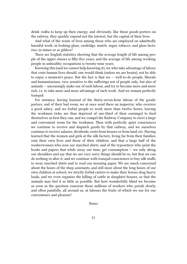drink *vodka* to keep up their energy, and obviously, like those goods-porters on the railway, they quickly expend not the interest, but the capital of their lives.

And what of the waste of lives among those who are employed on admittedly harmful work, in looking-glass, cardridge, match, sugar, tobacco, and glass factories; in mines or as gilders?

There are English statistics showing that the average length of life among people of the upper classes is fifty-five years, and the average of life among working people in unhealthy occupations is twenty-nine years.

Knowing this (and we cannot help knowing it), we who take advantage of labour that costs human lives should, one would think (unless we are beasts), not be able to enjoy a moment's peace. But the fact is that we -- well-to-do people, liberals and humanitarians, very sensitive to the sufferings not of people only, but also of animals -- unceasingly make use of such labour, and try to become more and more rich, i.e. to take more and more advantage of such work. And we remain perfectly tranquil.

For instance, having learned of the thirty-seven-hour labour of the goodsporters, and of their bad room, we at once send there an inspector, who receives a good salary, and we forbid people to work more than twelve hours, leaving the workmen (who are thus deprived of one-third of their earnings) to feed themselves as best they can; and we compel the Railway Company to erect a large and convenient room for the workmen. Then with perfectly quiet consciences we continue to receive and dispatch goods by that railway, and we ourselves continue to receive salaries, dividends, rents from houses or from land, etc. Having learned that the women and girls at the silk factory, living far from their families, ruin their own lives and those of their children, and that a large half of the washerwomen who iron our starched shirts, and of the typesetters who print the books and papers that while away our time, get consumption -- we only shrug our shoulders and say that we are very sorry things should be so, but that we can do nothing to alter it, and we continue with tranquil consciences to buy silk stuffs, to wear starched shirts and to read our morning paper. We are much concerned about the hours of the shop assistants, and still more about the long hours of our own children at school; we strictly forbid carters to make their horses drag heavy loads, and we even organize the killing of cattle in slaughter-houses, so that the animals may feel it as little as possible. But how wonderfully blind we become as soon as the question concerns those millions of workers who perish slowly, and often painfully, all around us, at labours the fruits of which we use for our convenience and pleasure!

Notes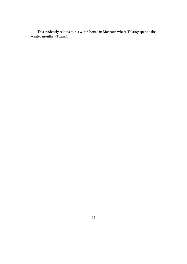1 This evidently relates to his wife's house in Moscow, where Tolstoy spends the winter months. (Trans.).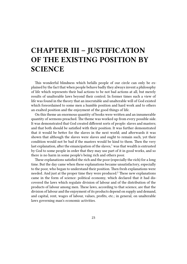## <span id="page-22-0"></span>**CHAPTER III – JUSTIFICATION OF THE EXISTING POSITION BY SCIENCE**

This wonderful blindness which befalls people of our circle can only be explained by the fact that when people behave badly they always invent a philosophy of life which represents their bad actions to be not bad actions at all, but merely results of unalterable laws beyond their control. In former times such a view of life was found in the theory that an inscrutable and unalterable will of God existed which foreordained to some men a humble position and hard work and to others an exalted position and the enjoyment of the good things of life.

On this theme an enormous quantity of books were written and an innumerable quantity of sermons preached. The theme was worked up from every possible side. It was demonstrated that God created different sorts of people: slaves and masters; and that both should be satisfied with their position. It was further demonstrated that it would be better for the slaves in the next world; and afterwards it was shown that although the slaves were slaves and ought to remain such, yet their condition would not be bad if the masters would be kind to them. Then the very last explanation, after the emancipation of the slaves, $<sup>1</sup>$  was that wealth is entrusted</sup> by God to some people in order that they may use part of it in good works, and so there is no harm in some people's being rich and others poor.

These explanations satisfied the rich and the poor (especially the rich) for a long time. But the day came when these explanations became unsatisfactory, especially to the poor, who began to understand their position. Then fresh explanations were needed. And just at the proper time they were produced.<sup>2</sup> These new explanations came in the form of science: political economy, which declared that it had discovered the laws which regulate division of labour and of the distribution of the products of labour among men. These laws, according to that science, are that the division of labour and the enjoyment of its products depend on supply and demand, and capital, rent, wages of labour, values, profits, etc.; in general, on unalterable laws governing man's economic activities.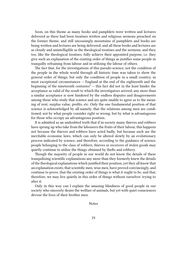Soon, on this theme as many books and pamphlets were written and lectures delivered as there had been treatises written and religious sermons preached on the former theme, and still unceasingly mountains of pamphlets and books are being written and lectures are being delivered; and all these books and lectures are as cloudy and unintelligible as the theological treatises and the sermons, and they, too, like the theological treatises, fully achieve their appointed purpose, i.e. they give such an explanation of the existing order of things as justifies some people in tranquilly refraining from labour and in utilizing the labour of others.

The fact that, for the investigations of this pseudo-science, not the condition of the people in the whole world through all historic time was taken to show the general order of things, but only the condition of people in a small country, in most exceptional circumstances -- England at the end of the eighteenth and the beginning of the nineteenth centuries<sup>3</sup>  $-$  this fact did not in the least hinder the acceptance as valid of the result to which the investigators arrived; any more than a similar acceptance is now hindered by the endless disputes and disagreements among those who study that science and are quite unable to agree as to the meaning of rent, surplus value, profits, etc. Only the one fundamental position of that science is acknowledged by all-namely, that the relations among men are conditioned, not by what people consider right or wrong, but by what is advantageous for those who occupy an advantageous position.

It is admitted as an undoubted truth that if in society many thieves and robbers have sprung up who take from the labourers the fruits of their labour, this happens not because the thieves and robbers have acted badly, but because such are the inevitable economic laws, which can only be altered slowly by an evolutionary process indicated by science; and therefore, according to the guidance of science, people belonging to the class of robbers, thieves or receivers of stolen goods may quietly continue to utilize the things obtained by thefts and robbery.

Though the majority of people in our world do not know the details of these tranquilizing scientific explanations any more than they formerly knew the details of the theological explanations which justified their position, yet they all know that an explanation exists; that scientific men, wise men, have proved convincingly, and continue to prove, that the existing order of things is what it ought to be, and that, therefore, we may live quietly in this order of things without ourselves' trying to alter it.

Only in this way can I explain the amazing blindness of good people in our society who sincerely desire the welfare of animals, but yet with quiet consciences devour the lives of their brother men.

Notes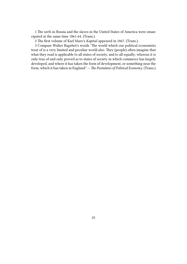1 The serfs in Russia and the slaves in the United States of America were emancipated at the same time 1861-64. (Trans.).

2 The first volume of Karl Marx's *Kapital* appeared in 1867. (Trans.).

3 Compare Walter Bagehot's words "The world which our political economists treat of is a very limited and peculiar world also. They (people) often imagine that what they read is applicable to all states of society, and to all equally; whereas it is only true of and only proved as to states of society in which commerce has largely developed, and where it has taken the form of development, or something near the form, which it has taken in England." -- *The Postulates of Political Economy*. (Trans.).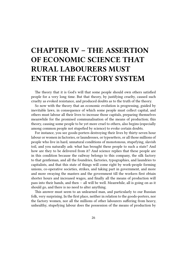## <span id="page-25-0"></span>**CHAPTER IV – THE ASSERTION OF ECONOMIC SCIENCE THAT RURAL LABOURERS MUST ENTER THE FACTORY SYSTEM**

The theory that it is God's will that some people should own others satisfied people for a very long time. But that theory, by justifying cruelty, caused such cruelty as evoked resistance, and produced doubts as to the truth of the theory.

So now with the theory that an economic evolution is progressing, guided by inevitable laws, in consequence of which some people must collect capital, and others must labour all their lives to increase those capitals, preparing themselves meanwhile for the promised communalisation of the means of production; this theory, causing some people to be yet more cruel to others, also begins (especially among common people not stupefied by science) to evoke certain doubts.

For instance, you see goods-porters destroying their lives by thirty-seven hour labour or women in factories, or laundresses, or typesetters, or all those millions of people who live in hard, unnatural conditions of monotonous, stupefying, slavish toil, and you naturally ask: what has brought these people to such a state? And how are they to be delivered from it? And science replies that these people are in this condition because the railway belongs to this company, the silk factory to that gentleman, and all the foundries, factories, typographies, and laundries to capitalists, and that this state of things will come right by work-people forming unions, co-operative societies, strikes, and taking part in government, and more and more swaying the masters and the government till the workers first obtain shorter hours and increased wages, and finally all the means of production will pass into their hands, and then -- all will be well. Meanwhile, all is going on as it should go, and there is no need to alter anything.

This answer must seem to an unlearned man, and particularly to our Russian folk, very surprising. In the first place, neither in relation to the goods-porters, nor the factory women, nor all the millions of other labourers suffering from heavy, unhealthy, stupefying labour does the possession of the means of production by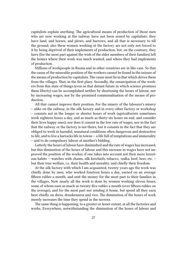capitalists explain anything. The agricultural means of production of those men who are now working at the railway have not been seized by capitalists: they have land, and horses, and plows, and harrows, and all that is necessary to till the ground; also these women working at the factory are not only not forced to it by being deprived of their implements of production, but, on the contrary, they have (for the most part against the wish of the elder members of their families) left the homes where their work was much wanted, and where they had implements of production.

Millions of workpeople in Russia and in other countries are in like case. So that the cause of the miserable position of the workers cannot be found in the seizure of the means of production by capitalists.The cause must lie in that which drives them from the villages. That, in the first place. Secondly, the emancipation of the workers from this state of things (even in that distant future in which science promises them liberty) can be accomplished neither by shortening the hours of labour, nor by increasing wages, nor by the promised communalisation of the means of production.

All that cannot improve their position. For the misery of the labourer's misery -- alike on the railway, in the silk factory and in every other factory or workshop -- consists not in the longer or shorter hours of work (agriculturists sometimes work eighteen hours a day, and as much as thirty-six hours on end, and consider their lives happy ones); nor does it consist in the low rate of wages, nor in the fact that the railway or the factory is not theirs, but it consists in the fact that they are obliged to work in harmful, unnatural conditions often dangerous and destructive to life, and to live a barracks life in towns -- a life full of temptations and immorality -- and to do compulsory labour at another's bidding.

Latterly the hours of labour have diminished and the rate of wages has increased; but this diminution of the hours of labour and this increase in wages have not improved the position of the worker, if one takes into account not their more luxurious habits -- watches with chains, silk kerchiefs, tobacco, *vodka*, beef, beer, etc. - but their true welfare, i.e. their health and morality, and chiefly their freedom.

At the silk factory with which I am acquainted, twenty years ago the work was chiefly done by men, who worked fourteen hours a day, earned on an average fifteen rubles a month, and sent the money for the most part to their families in the villages. Now nearly all the work is done by women working eleven hours, some of whom earn as much as twenty-five rubles a month (over fifteen rubles on the average), and for the most part not sending it home, but spend all they earn here chiefly on dress, drunkenness and vice. The diminution of the hours of work merely increases the time they spend in the taverns.

The same thing is happening, to a greater or lesser extent, at all the factories and works. Everywhere, notwithstanding the diminution of the hours of labour and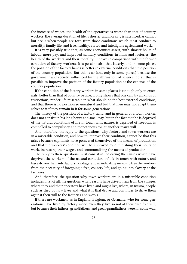the increase of wages, the health of the operatives is worse than that of country workers, the average duration of life is shorter, and morality is sacrificed, as cannot but occur when people are torn from those conditions which most conduce to morality: family life, and free, healthy, varied and intelligible agricultural work.

It is very possibly true that, as some economists assert, with shorter hours of labour, more pay, and improved sanitary conditions in mills and factories, the health of the workers and their morality improve in comparison with the former condition of factory workers. It is possible also that latterly, and in some places, the position of the factory hands is better in external conditions than the position of the country population. But this is so (and only in some places) because the government and society, influenced by the affirmation of science, do all that is possible to improve the position of the factory population at the expense of the country population.

If the condition of the factory workers in some places is (though only in externals) better than that of country people, it only shows that one can, by all kinds of restrictions, render life miserable in what should be the best external conditions, and that there is no position so unnatural and bad that men may not adapt themselves to it if they remain in it for some generations.

The misery of the position of a factory hand, and in general of a town worker, does not consist in his long hours and small pay, but in the fact that he is deprived of the natural conditions of life in touch with nature, is deprived of freedom, is compelled to compulsory and monotonous toil at another man's will.

And, therefore, the reply to the questions, why factory and town workers are in a miserable condition, and how to improve their condition, cannot be that this arises because capitalists have possessed themselves of the means of production, and that the workers' condition will be improved by diminishing their hours of work, increasing their wages, and communalising the means of production.

The reply to these questions must consist in indicating the causes which have deprived the workers of the natural conditions of life in touch with nature, and have driven them into factory bondage, and in indicating means to free the workers from the necessity of foregoing a free, country life, and going into slavery at the factories.

And, therefore, the question why town workers are in a miserable condition includes, first of all, the question: what reasons have driven them from the villages, where they and their ancestors have lived and might live, where, in Russia, people such as they do now live? and what it is that drove and continues to drive them against their will to the factories and works?

If there are workmen, as in England, Belgium, or Germany, who for some generations have lived by factory work, even they live so not at their own free will, but because their fathers, grandfathers, and great-grandfathers were, in some way,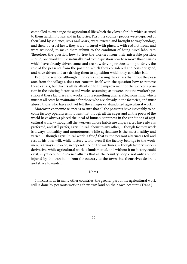compelled to exchange the agricultural life which they loved for life which seemed to them hard, in towns and in factories. First, the country people were deprived of their land by violence, says Karl Marx, were evicted and brought to vagabondage, and then, by cruel laws, they were tortured with pincers, with red-hot irons, and were whipped, to make them submit to the condition of being hired labourers. Therefore, the question how to free the workers from their miserable position should, one would think, naturally lead to the question how to remove those causes which have already driven some, and are now driving or threatening to drive, the rest of the peasants from the position which they considered and consider good, and have driven and are driving them to a position which they consider bad.

Economic science, although it indicates in passing the causes that drove the peasants from the villages, does not concern itself with the question how to remove these causes, but directs all its attention to the improvement of the worker's position in the existing factories and works, assuming, as it were, that the worker's position at these factories and workshops is something unalterable, something which must at all costs be maintained for those who are already in the factories, and must absorb those who have not yet left the villages or abandoned agricultural work.

Moreover, economic science is so sure that all the peasants have inevitably to become factory operatives in towns, that though all the sages and all the poets of the world have always placed the ideal of human happiness in the conditions of agricultural work, -- though all the workers whose habits are unperverted have always preferred, and still prefer, agricultural labour to any other, -- though factory work is always unhealthy and monotonous, while agriculture is the most healthy and varied, -- though agricultural work is free,<sup>1</sup> that is, the peasant alternates toil and rest at his own will, while factory work, even if the factory belongs to the workmen, is always enforced, in dependence on the machines, -- though factory work is derivative, while agricultural work is fundamental, and without it no factory could exist, -- yet economic science affirms that all the country people not only are not injured by the transition from the country to the town, but themselves desire it and strive towards it.

#### Notes

1 In Russia, as in many other countries, the greater part of the agricultural work still is done by peasants working their own land on their own account. (Trans.).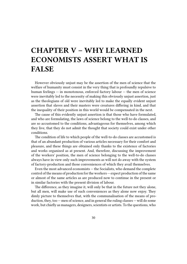### <span id="page-29-0"></span>**CHAPTER V – WHY LEARNED ECONOMISTS ASSERT WHAT IS FALSE**

However obviously unjust may be the assertion of the men of science that the welfare of humanity must consist in the very thing that is profoundly repulsive to human feelings -- in monotonous, enforced factory labour -- the men of science were inevitably led to the necessity of making this obviously unjust assertion, just as the theologians of old were inevitably led to make the equally evident unjust assertion that slaves and their masters were creatures differing in kind, and that the inequality of their position in this world would be compensated in the next.

The cause of this evidently unjust assertion is that those who have formulated, and who are formulating, the laws of science belong to the well-to-do classes, and are so accustomed to the conditions, advantageous for themselves, among which they live, that they do not admit the thought that society could exist under other conditions.

The condition of life to which people of the well-to-do classes are accustomed is that of an abundant production of various articles necessary for their comfort and pleasure, and these things are obtained only thanks to the existence of factories and works organized as at present. And, therefore, discussing the improvement of the workers' position, the men of science belonging to the well-to-do classes always have in view only such improvements as will not do away with the system of factory-production and those conveniences of which they avail themselves.

Even the most advanced economists -- the Socialists, who demand the complete control of the means of production for the workers -- expect production of the same or almost of the same articles as are produced now to continue in the present or in similar factories with the present division of labour.

The difference, as they imagine it, will only be that in the future not they alone, but all men, will make use of such conveniences as they alone now enjoy. They dimly picture to themselves that, with the communalisation of the means of production, they, too -- men of science, and in general the ruling classes -- will do some work, but chiefly as managers, designers, scientists or artists. To the questions, who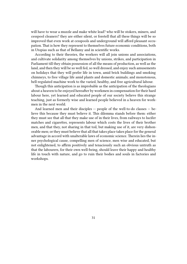will have to wear a muzzle and make white lead? who will be stokers, miners, and cesspool cleaners? they are either silent, or foretell that all these things will be so improved that even work at cesspools and underground will afford pleasant occupation. That is how they represent to themselves future economic conditions, both in Utopias such as that of Bellamy and in scientific works.

According to their theories, the workers will all join unions and associations, and cultivate solidarity among themselves by unions, strikes, and participation in Parliament till they obtain possession of all the means of production, as well as the land, and then they will be so well fed, so well dressed, and enjoy such amusements on holidays that they will prefer life in town, amid brick buildings and smoking chimneys, to free village life amid plants and domestic animals; and monotonous, bell-regulated machine work to the varied, healthy, and free agricultural labour.

Though this anticipation is as improbable as the anticipation of the theologians about a heaven to be enjoyed hereafter by workmen in compensation for their hard labour here, yet learned and educated people of our society believe this strange teaching, just as formerly wise and learned people believed in a heaven for workmen in the next world.

And learned men and their disciples -- people of the well-to-do classes -- believe this because they must believe it. This dilemma stands before them: either they must see that all that they make use of in their lives, from railways to lucifer matches and cigarettes, represents labour which costs the lives of their brother men, and that they, not sharing in that toil, but making use of it, are very dishonorable men; or they must believe that all that takes place takes place for the general advantage in accord with unalterable laws of economic science. Therein lies the inner psychological cause, compelling men of science, men wise and educated, but not enlightened, to affirm positively and tenaciously such an obvious untruth as that the labourers, for their own well-being, should leave their happy and healthy life in touch with nature, and go to ruin their bodies and souls in factories and workshops.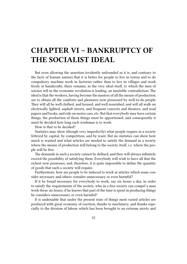### <span id="page-31-0"></span>**CHAPTER VI – BANKRUPTCY OF THE SOCIALIST IDEAL**

But even allowing the assertion (evidently unfounded as it is, and contrary to the facts of human nature) that it is better for people to live in towns and to do compulsory machine work in factories rather than to live in villages and work freely at handicrafts, there remains, in the very ideal itself, to which the men of science tell us the economic revolution is leading, an insoluble contradiction. The ideal is that the workers, having become the masters of all the means of production, are to obtain all the comforts and pleasures now possessed by well-to-do people. They will all be well clothed, and housed, and well nourished, and will all walk on electrically lighted, asphalt streets, and frequent concerts and theaters, and read papers and books, and ride on motor cars, etc. But that everybody may have certain things, the production of those things must be apportioned, and consequently it must be decided how long each workman is to work.

How is that to be decided?

Statistics may show (though very imperfectly) what people require in a society fettered by capital, by competition, and by want. But no statistics can show how much is wanted and what articles are needed to satisfy the demand in a society where the means of production will belong to the society itself, i.e. where the people will be free.

The demands in such a society cannot be defined, and they will always infinitely exceed the possibility of satisfying them. Everybody will wish to have all that the richest now possesses, and, therefore, it is quite impossible to define the quantity of goods that such a society will require.

Furthermore, how are people to be induced to work at articles which some consider necessary and others consider unnecessary or even harmful?

If it be found necessary for everybody to work, say six hours a day, in order to satisfy the requirements of the society, who in a free society can compel a man work those six hours, if he knows that part of the time is spent in producing things he considers unnecessary or even harmful?

It is undeniable that under the present state of things most varied articles are produced with great economy of exertion, thanks to machinery, and thanks especially to the division of labour which has been brought to an extreme nicety and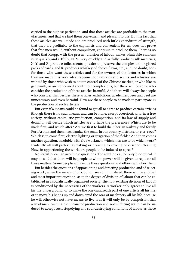carried to the highest perfection, and that those articles are profitable to the manufacturers, and that we find them convenient and pleasant to use. But the fact that these articles are well made and are produced with little expenditure of strength, that they are profitable to the capitalists and convenient for us, does not prove that free men would, without compulsion, continue to produce them. There is no doubt that Krupp, with the present division of labour, makes admirable cannons very quickly and artfully; N. M. very quickly and artfully produces silk materials; X, Y, and Z. produce toilet-scents, powder to preserve the complexion, or glazed packs of cards, and K. produces whiskey of choice flavor, etc.; and, no doubt, both for those who want these articles and for the owners of the factories in which they are made it is very advantageous. But cannons and scents and whiskey are wanted by those who wish to obtain control of the Chinese market, or who like to get drunk, or are concerned about their complexions; but there will be some who consider the production of these articles harmful. And there will always be people who consider that besides these articles, exhibitions, academies, beer and beef are unnecessary and even harmful. How are these people to be made to participate in the production of such articles?

But even if a means could be found to get all to agree to produce certain articles (though there is no such means, and can be none, except coercion), who, in a free society, without capitalistic production, competition, and its law of supply and demand, will decide which articles are to have the preference? Which are to be made first, and which after? Are we first to build the Siberian Railway and fortify Port Arthur, and then macadamize the roads in our country districts, or *vice-versa*? Which is to come first, electric lighting or irrigation of the fields? And then comes another question, insoluble with free workmen: which men are to do which work? Evidently all will prefer haymaking or drawing to stoking or cesspool cleaning. How, in apportioning the work, are people to be induced to agree?

No statistics can answer these questions. The solution can be only theoretical: it may be said that there will be people to whom power will be given to regulate all these matters. Some people will decide these questions and others will obey them.

But besides the questions of apportioning and directing production and of selecting work, when the means of production are communalised, there will be another and most important question, as to the degree of division of labour that can be established in a socialistically organized society. The now existing division of labour is conditioned by the necessities of the workers. A worker only agrees to live all his life underground, or to make the one-hundredth part of one article all his life, or to move his hands up and down amid the roar of machinery all his life, because he will otherwise not have means to live. But it will only be by compulsion that a workman, owning the means of production and not suffering want, can be induced to accept such stupefying and soul-destroying conditions of labour as those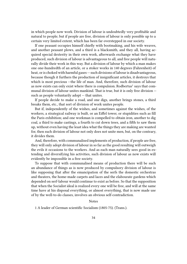in which people now work. Division of labour is undoubtedly very profitable and natural to people; but if people are free, division of labour is only possible up to a certain very limited extent, which has been far overstepped in our society.

If one peasant occupies himself chiefly with bootmaking, and his wife weaves, and another peasant plows, and a third is a blacksmith, and they all, having acquired special dexterity in their own work, afterwards exchange what they have produced, such division of labour is advantageous to all, and free people will naturally divide their work in this way. But a division of labour by which a man makes one one-hundredth of an article, or a stoker works in 140 degrees (Fahrenheit) of heat, or is choked with harmful gases -- such divisions of labour is disadvantageous, because though it furthers the production of insignificant articles, it destroys that which is most precious --the life of man. And, therefore, such division of labour as now exists can only exist where there is compulsion. Rodbertus<sup>1</sup> says that communal division of labour unites mankind. That is true, but it is only free division - such as people voluntarily adopt -- that unites.

If people decide to make a road, and one digs, another brings stones, a third breaks them, etc., that sort of division of work unites people.

But if, independently of the wishes, and sometimes against the wishes, of the workers, a strategical railway is built, or an Eiffel tower, or stupidities such as fill the Paris exhibition; and one workman is compelled to obtain iron, another to dig coal, a third to make castings, a fourth to cut down trees, and a fifth to saw them up, without even having the least idea what the things they are making are wanted for, then such division of labour not only does not unite men, but, on the contrary, it divides them.

And, therefore, with communalised implements of production, if people are free, they will only adopt division of labour in so far as the good resulting will outweigh the evils it occasions to the workers. And as each man naturally sees good in extending and diversifying his activities, such division of labour as now exists will evidently be impossible in a free society.

To suppose that with communalised means of production there will be such an abundance of things as is now produced by compulsory division of labour is like supposing that after the emancipation of the serfs the domestic orchestras and theaters, the home-made carpets and laces and the elabourate gardens which depended on serf-labour would continue to exist as before. So that the supposition that when the Socialist ideal is realized every one will be free, and will at the same time have at his disposal everything, or almost everything, that is now made use of by the well-to-do classes, involves an obvious self-contradiction.

#### Notes

1 A leader of German scientific Socialism (1805-75). (Trans.).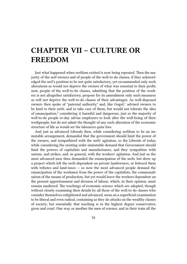### <span id="page-34-0"></span>**CHAPTER VII – CULTURE OR FREEDOM**

Just what happened when serfdom existed is now being repeated. Then the majority of the serf-owners and of people of the well-to-do classes, if they acknowledged the serf's position to be not quite satisfactory, yet recommended only such alterations as would not deprive the owners of what was essential to their profit; now, people of the well-to-do classes, admitting that the position of the workers is not altogether satisfactory, propose for its amendment only such measures as will not deprive the well-to-do classes of their advantages. As well-disposed owners then spoke of "paternal authority," and, like Gogol,<sup>1</sup> advised owners to be kind to their serfs, and to take care of them, but would not tolerate the idea of emancipation,<sup>2</sup> considering it harmful and dangerous, just so the majority of well-to-do people to-day advise employers to look after the well-being of their workpeople, but do not admit the thought of any such alteration of the economic structure of life as would set the labourers quite free.

And just as advanced Liberals then, while considering serfdom to be an immutable arrangement, demanded that the government should limit the power of the owners, and sympathized with the serfs' agitation, so the Liberals of today, while considering the existing order immutable demand that Government should limit the powers of capitalists and manufacturers, and they sympathize with unions, and strikes, and, in general, with the workers' agitation. And just as the most advanced men then demanded the emancipation of the serfs, but drew up a project which left the serfs dependent on private landowners, or fettered them with tributes and land-taxes -- so now the most advanced people demand the emancipation of the workmen from the power of the capitalists, the communalisation of the means of production, but yet would leave the workers dependent on the present apportionment and division of labour, which, in their opinion, must remain unaltered. The teachings of economic science which are adopted, though without closely examining their details by all those of the well-to-do classes who consider themselves enlightened and advanced, seem on a superficial examination to be liberal and even radical, containing as they do attacks on the wealthy classes of society; but essentially that teaching is in the highest degree conservative, gross and cruel. One way or another the men of science, and in their train all the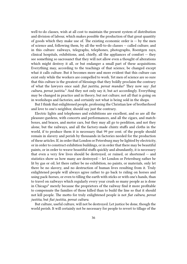well-to-do classes, wish at all cost to maintain the present system of distribution and division of labour, which makes possible the production of that great quantity of goods which they make use of. The existing economic order is -- by the men of science and, following them, by all the well-to-do classes -- called culture; and in this culture: railways, telegraphs, telephones, photographs, Roentgen rays, clinical hospitals, exhibitions, and, chiefly, all the appliances of comfort -- they see something so sacrosanct that they will not allow even a thought of alterations which might destroy it all, or but endanger a small part of these acquisitions. Everything may, according to the teachings of that science, be changed except what it calls culture. But it becomes more and more evident that this culture can exist only while the workers are compelled to work. Yet men of science are so sure that this culture is the greatest of blessings that they boldly proclaim the contrary of what the lawyers once said: *fiat justitia, pereat mundus*<sup>4</sup> They now say: *fiat cultura, pereat justitia*. <sup>5</sup> And they not only say it, but act accordingly. Everything may be changed in practice and in theory, but not culture; not all that is going on in workshops and factories, and certainly not what is being sold in the shops.

But I think that enlightened people, professing the Christian law of brotherhood and love to one's neighbor, should say just the contrary.

Electric lights and telephones and exhibitions are excellent, and so are all the pleasure-gardens, with concerts and performances, and all the cigars, and matchboxes, and braces, and motor cars, but they may all go to perdition, and not they alone, but the railways, and all the factory-made chintz stuffs and cloths in the world, if to produce them it is necessary that 99 per cent. of the people should remain in slavery and perish by thousands in factories needed for the production of these articles. If, in order that London or Petersburg may be lighted by electricity, or in order to construct exhibition buildings, or in order that there may be beautiful paints, or in order to weave beautiful stuffs quickly and abundantly, it is necessary that even a very few lives should be destroyed, or ruined, or shortened -- and statistics show us how many are destroyed -- let London or Petersburg rather be lit by gas or oil; let there rather be no exhibition, no paints, or materials, only let there be no slavery, and no destruction of human lives resulting from it. Truly enlightened people will always agree rather to go back to riding on horses and using pack-horses, or even to tilling the earth with sticks or with one's hands, than to travel on railways which regularly every year crush so many people as is done in Chicago $^6$  merely because the proprietors of the railway find it more profitable to compensate the families of those killed than to build the line so that it should not kill people. The motto for truly enlightened people is not *fiat cultura, pereat justitia*, but *fiat justitia, pereat cultura*.

But culture, useful culture, will not be destroyed. Let justice be done, though the world perish. It will certainly not be necessary for people to revert to tillage of the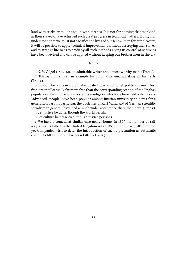land with sticks or to lighting up with torches. It is not for nothing that mankind, in their slavery, have achieved such great progress in technical matters. If only it is understood that we must not sacrifice the lives of our fellow-men for our pleasure, it will be possible to apply technical improvements without destroying men's lives, and to arrange life so as to profit by all such methods giving us control of nature as have been devised and can be applied without keeping our brother men in slavery.

#### Notes

1 N. V. Gdgol (1809-52), an admirable writer and a most worthy man. (Trans.).

2 Tolstoy himself set an example by voluntarily emancipating all his serfs. (Trans.).

3 It should be borne in mind that educated Russians, though politically much less free, are intellectually far more free than the corresponding section of the English population. Views on economics, and on religion, which are here held only by very "advanced" people, have been popular among Russian university students for a generation past. In particular, the doctrines of Karl Marx, and of German scientific socialism in general, have had a much wider acceptance there than here. (Trans.).

4 Let justice be done, though the world perish.

5 Let culture be preserved, though justice perishes.

6 We have a somewhat similar case nearer home. In 1899 the number of railway servants killed in the United Kingdom was 1085, besides nearly 5000 injured, yet Companies wish to defer the introduction of such a precaution as automatic couplings till yet more have been killed. (Trans.).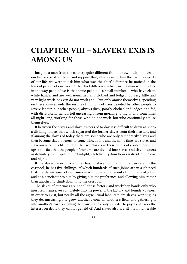### <span id="page-37-0"></span>**CHAPTER VIII – SLAVERY EXISTS AMONG US**

Imagine a man from the country quite different from our own, with no idea of our history or of our laws, and suppose that, after showing him the various aspects of our life, we were to ask him what was the chief difference he noticed in the lives of people of our world? The chief difference which such a man would notice in the way people live is that some people -- a small number -- who have clean, white hands, and are well nourished and clothed and lodged, do very little and very light work, or even do not work at all, but only amuse themselves, spending on these amusements the results of millions of days devoted by other people to severe labour; but other people, always dirty, poorly clothed and lodged and fed, with dirty, horny hands, toil unceasingly from morning to night, and sometimes all night long, working for those who do not work, but who continually amuse themselves.

If between the slaves and slave-owners of to-day it is difficult to draw as sharp a dividing line as that which separated the former slaves from their masters, and if among the slaves of today there are some who are only temporarily slaves and then become slave-owners, or some who, at one and the same time, are slaves and slave-owners, this blending of the two classes at their points of contact does not upset the fact that the people of our time are divided into slaves and slave-owners as definitely as, in spite of the twilight, each twenty-four hours is divided into day and night.

If the slave-owner of our times has no slave, John, whom he can send to the cesspool, he has five shillings, of which hundreds of such Johns are in such need that the slave-owner of our times may choose any one out of hundreds of Johns and be a benefactor to him by giving him the preference, and allowing him, rather than another, to climb down into the cesspool.<sup>1</sup>

The slaves of our times are not all those factory and workshop hands only who must sell themselves completely into the power of the factory and foundry-owners in order to exist, but nearly all the agricultural labourers are slaves, working, as they do, unceasingly to grow another's corn on another's field, and gathering it into another's barn; or tilling their own fields only in order to pay to bankers the interest on debts they cannot get rid of. And slaves also are all the innumerable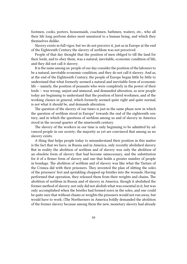footmen, cooks, porters, housemaids, coachmen, bathmen, waiters, etc., who all their life long perform duties most unnatural to a human being, and which they themselves dislike.

Slavery exists in full vigor, but we do not perceive it, just as in Europe at the end of the Eighteenth Century the slavery of serfdom was not perceived.

People of that day thought that the position of men obliged to till the land for their lords, and to obey them, was a natural, inevitable, economic condition of life, and they did not call it slavery.

It is the same among us: people of our day consider the position of the labourer to be a natural, inevitable economic condition, and they do not call it slavery. And as, at the end of the Eighteenth Century, the people of Europe began little by little to understand that what formerly seemed a natural and inevitable form of economic life -- namely, the position of peasants who were completely in the power of their lords -- was wrong, unjust and immoral, and demanded alteration, so now people today are beginning to understand that the position of hired workmen, and of the working classes in general, which formerly seemed quite right and quite normal, is not what it should be, and demands alteration.

The question of the slavery of our times is just in the same phase now in which the question of serfdom stood in Europe<sup>2</sup> towards the end of the eighteenth century, and in which the questions of serfdom among us and of slavery in America stood in the second quarter of the nineteenth century.

The slavery of the workers in our time is only beginning to be admitted by advanced people in our society; the majority as yet are convinced that among us no slavery exists.

A thing that helps people today to misunderstand their position in this matter is the fact that we have, in Russia and in America, only recently abolished slavery. But in reality the abolition of serfdom and of slavery was only the abolition of an obsolete form of slavery that had become unnecessary, and the substitution for it of a firmer form of slavery and one that holds a greater number of people in bondage. The abolition of serfdom and of slavery was like what the Tartars of the Crimea did with their prisoners. They invented the plan of slitting the soles of the prisoners' feet and sprinkling chopped-up bristles into the wounds. Having performed that operation, they released them from their weights and chains. The abolition of serfdom in Russia and of slavery in America, though it abolished the former method of slavery, not only did not abolish what was essential in it, but was only accomplished when the bristles had formed sores in the soles, and one could be quite sure that without chains or weights the prisoners would not run away, but would have to work. (The Northerners in America boldly demanded the abolition of the former slavery because among them the new, monetary slavery had already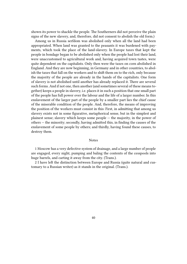shown its power to shackle the people. The Southerners did not perceive the plain signs of the new slavery, and, therefore, did not consent to abolish the old form.)

Among us in Russia serfdom was abolished only when all the land had been appropriated. When land was granted to the peasants it was burdened with payments, which took the place of the land-slavery. In Europe taxes that kept the people in bondage began to be abolished only when the people had lost their land, were unaccustomed to agricultural work and, having acquired town tastes, were quite dependent on the capitalists. Only then were the taxes on corn abolished in England. And they are now beginning, in Germany and in other countries, to abolish the taxes that fall on the workers and to shift them on to the rich, only because the majority of the people are already in the hands of the capitalists. One form of slavery is not abolished until another has already replaced it. There are several such forms. And if not one, then another (and sometimes several of these means together) keeps a people in slavery, i.e. places it in such a position that one small part of the people has full power over the labour and the life of a larger number. In this enslavement of the larger part of the people by a smaller part lies the chief cause of the miserable condition of the people. And, therefore, the means of improving the position of the workers must consist in this: First, in admitting that among us slavery exists not in some figurative, metaphorical sense, but in the simplest and plainest sense; slavery which keeps some people -- the majority, in the power of others -- the minority; secondly, having admitted this, in finding the causes of the enslavement of some people by others; and thirdly, having found these causes, to destroy them.

#### Notes

1 Moscow has a very defective system of drainage, and a large number of people are engaged, every night, pumping and baling the contents of the cesspools into huge barrels, and carting it away from the city. (Trans.).

2 I have left the distinction between Europe and Russia (quite natural and customary to a Russian writer) as it stands in the original. (Trans.).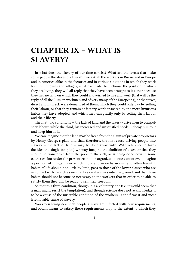### <span id="page-40-0"></span>**CHAPTER IX – WHAT IS SLAVERY?**

In what does the slavery of our time consist? What are the forces that make some people the slaves of others? If we ask all the workers in Russia and in Europe and in America alike in the factories and in various situations in which they work for hire, in towns and villages, what has made them choose the position in which they are living, they will all reply that they have been brought to it either because they had no land on which they could and wished to live and work (that will be the reply of all the Russian workmen and of very many of the Europeans), or that taxes, direct and indirect, were demanded of them, which they could only pay by selling their labour, or that they remain at factory work ensnared by the more luxurious habits they have adopted, and which they can gratify only by selling their labour and their liberty.

The first two conditions -- the lack of land and the taxes -- drive men to compulsory labour; while the third, his increased and unsatisfied needs -- decoy him to it and keep him at it.

We can imagine that the land may be freed from the claims of private proprietors by Henry George's plan, and that, therefore, the first cause driving people into slavery -- the lack of land -- may be done away with. With reference to taxes (besides the single-tax plan) we may imagine the abolition of taxes, or that they should be transferred from the poor to the rich, as is being done now in some countries; but under the present economic organization one cannot even imagine a position of things under which more and more luxurious, and often harmful, habits of life should not, little by little, pass to those of the lower classes who are in contact with the rich as inevitably as water sinks into dry ground, and that those habits should not become so necessary to the workers that in order to be able to satisfy them they will be ready to sell their freedom.

So that this third condition, though it is a voluntary one (i.e. it would seem that a man might resist the temptation), and though science does not acknowledge it to be a cause of the miserable condition of the workers, is the firmest and most irremovable cause of slavery.

Workmen living near rich people always are infected with new requirements, and obtain means to satisfy these requirements only to the extent to which they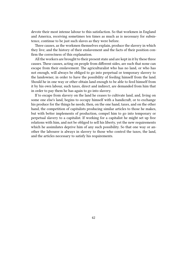devote their most intense labour to this satisfaction. So that workmen in England and America, receiving sometimes ten times as much as is necessary for subsistence, continue to be just such slaves as they were before.

Three causes, as the workmen themselves explain, produce the slavery in which they live; and the history of their enslavement and the facts of their position confirm the correctness of this explanation.

All the workers are brought to their present state and are kept in it by these three causes. These causes, acting on people from different sides, are such that none can escape from their enslavement. The agriculturalist who has no land, or who has not enough, will always be obliged to go into perpetual or temporary slavery to the landowner, in order to have the possibility of feeding himself from the land. Should he in one way or other obtain land enough to be able to feed himself from it by his own labour, such taxes, direct and indirect, are demanded from him that in order to pay them he has again to go into slavery.

If to escape from slavery on the land he ceases to cultivate land, and, living on some one else's land, begins to occupy himself with a handicraft, or to exchange his produce for the things he needs, then, on the one hand, taxes, and on the other hand, the competition of capitalists producing similar articles to those he makes, but with better implements of production, compel him to go into temporary or perpetual slavery to a capitalist. If working for a capitalist he might set up free relations with him, and not be obliged to sell his liberty, yet the new requirements which he assimilates deprive him of any such possibility. So that one way or another the labourer is always in slavery to those who control the taxes, the land, and the articles necessary to satisfy his requirements.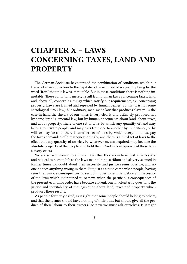## <span id="page-42-0"></span>**CHAPTER X – LAWS CONCERNING TAXES, LAND AND PROPERTY**

The German Socialists have termed the combination of conditions which put the worker in subjection to the capitalists the iron law of wages, implying by the word "iron'' that this law is immutable. But in these conditions there is nothing immutable. These conditions merely result from human laws concerning taxes, land, and, above all, concerning things which satisfy our requirements, i.e. concerning property. Laws are framed and repealed by human beings. So that it is not some sociological "iron law," but ordinary, man-made law that produces slavery. In the case in hand the slavery of our times is very clearly and definitely produced not by some "iron" elemental law, but by human enactments about land, about taxes, and about property. There is one set of laws by which any quantity of land may belong to private people, and may pass from one to another by inheritance, or by will, or may be sold; there is another set of laws by which every one must pay the taxes demanded of him unquestioningly; and there is a third set of laws to the effect that any quantity of articles, by whatever means acquired, may become the absolute property of the people who hold them. And in consequence of these laws slavery exists.

We are so accustomed to all these laws that they seem to us just as necessary and natural to human life as the laws maintaining serfdom and slavery seemed in former times; no doubt about their necessity and justice seems possible, and no one notices anything wrong in them. But just as a time came when people, having seen the ruinous consequences of serfdom, questioned the justice and necessity of the laws which maintained it, so now, when the pernicious consequences of the present economic order have become evident, one involuntarily questions the justice and inevitability of the legislation about land, taxes and property which produces these results.

As people formerly asked, Is it right that some people should belong to others, and that the former should have nothing of their own, but should give all the produce of their labour to their owners? so now we must ask ourselves, Is it right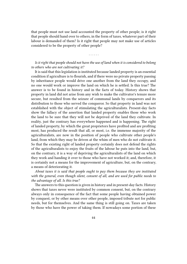that people must not use land accounted the property of other people; is it right that people should hand over to others, in the form of taxes, whatever part of their labour is demanded of them? Is it right that people may not make use of articles considered to be the property of other people?

. . . . . .

*Is it right that people should not have the use of land when it is considered to belong to others who are not cultivating it?*

It is said that this legislation is instituted because landed property is an essential condition if agriculture is to flourish, and if there were no private property passing by inheritance people would drive one another from the land they occupy, and no one would work or improve the land on which he is settled. Is this true? The answer is to be found in history and in the facts of today. History shows that property in land did not arise from any wish to make the cultivator's tenure more secure, but resulted from the seizure of communal lands by conquerors and its distribution to those who served the conqueror. So that property in land was not established with the object of stimulating the agriculturalists. Present-day facts show the fallacy of the assertion that landed property enables those who work the land to be sure that they will not be deprived of the land they cultivate. In reality, just the contrary has everywhere happened and is happening. The right of landed property, by which the great proprietors have profited and are profiting most, has produced the result that all, or most, i.e. the immense majority of the agriculturalists, are now in the position of people who cultivate other people's land, from which they may be driven at the whim of men who do not cultivate it. So that the existing right of landed property certainly does not defend the rights of the agriculturalists to enjoy the fruits of the labour he puts into the land, but, on the contrary, it is a way of depriving the agriculturalists of the land on which they work and handing it over to those who have not worked it; and, therefore, it is certainly not a means for the improvement of agriculture, but, on the contrary, a means of deteriorating it.

*About taxes it is said that people ought to pay them because they are instituted with the general, even though silent, consent of all, and are used for public needs to the advantage of all. Is this true?*

The answers to this question is given in history and in present-day facts. History shows that taxes never were instituted by common consent, but, on the contrary always only in consequence of the fact that some people having obtained power by conquest, or by other means over other people, imposed tribute not for public needs, but for themselves. And the same thing is still going on. Taxes are taken by those who have the power of taking them. If nowadays some portion of these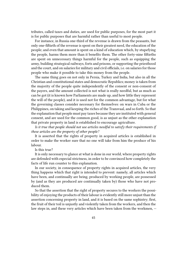tributes, called taxes and duties, are used for public purposes, for the most part it is for public purposes that are harmful rather than useful to most people.

For instance, in Russia one-third of the revenue is drawn from the peasants, but only one-fiftieth of the revenue is spent on their greatest need, the education of the people; and even that amount is spent on a kind of education which, by stupefying the people, harms them more than it benefits them. The other forty-nine fiftieths are spent on unnecessary things harmful for the people, such as equipping the army, building strategical railways, forts and prisons, or supporting the priesthood and the court, and on salaries for military and civil officials, i.e. on salaries for those people who make it possible to take this money from the people.

The same thing goes on not only in Persia, Turkey and India, but also in all the Christian and constitutional states and democratic Republics; money is taken from the majority of the people quite independently of the consent or non-consent of the payers, and the amount collected is not what is really needful, but as much as can be got (it is known how Parliaments are made up, and how little they represent the will of the people), and it is used not for the common advantage, but for what the governing classes consider necessary for themselves: on wars in Cuba or the Philippines, on taking and keeping the riches of the Transvaal, and so forth. So that the explanation that people must pay taxes because they are instituted with general consent, and are used for the common good, is as unjust as the other explanation that private property in land is established to encourage agriculture.

*Is it true that people should not use articles needful to satisfy their requirements if these articles are the property of other people?*

It is asserted that the rights of property in acquired articles is established in order to make the worker sure that no one will take from him the produce of his labour.

Is this true?

It is only necessary to glance at what is done in our world, where property rights are defended with especial strictness, in order to be convinced how completely the facts of life run counter to this explanation.

In our society, in consequence of property rights in acquired articles, the very thing happens which that right is intended to prevent: namely, all articles which have been, and continually are being, produced by working people, are possessed by (and as they are produced are continually taken by) those who have not produced them.

So that the assertion that the right of property secures to the workers the possibility of enjoying the products of their labour is evidently still more unjust than the assertion concerning property in land, and it is based on the same sophistry; first, the fruit of their toil is unjustly and violently taken from the workers, and then the law steps in, and these very articles which have been taken from the workmen, --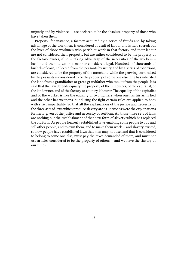unjustly and by violence, -- are declared to be the absolute property of those who have taken them.

Property: for instance, a factory acquired by a series of frauds and by taking advantage of the workmen, is considered a result of labour and is held sacred; but the lives of those workmen who perish at work in that factory and their labour are not considered their property, but are rather considered to be the property of the factory owner, if he -- taking advantage of the necessities of the workers - has bound them down in a manner considered legal. Hundreds of thousands of bushels of corn, collected from the peasants by usury and by a series of extortions, are considered to be the property of the merchant, while the growing corn raised by the peasants is considered to be the property of some one else if he has inherited the land from a grandfather or great-grandfather who took it from the people. It is said that the law defends equally the property of the millowner, of the capitalist, of the landowner, and of the factory or country labourer. The equality of the capitalist and of the worker is like the equality of two fighters when one has his arms tied and the other has weapons, but during the fight certain rules are applied to both with strict impartiality. So that all the explanations of the justice and necessity of the three sets of laws which produce slavery are as untrue as were the explanations formerly given of the justice and necessity of serfdom. All those three sets of laws are nothing but the establishment of that new form of slavery which has replaced the old form. As people formerly established laws enabling some people to buy and sell other people, and to own them, and to make them work -- and slavery existed, so now people have established laws that men may not use land that is considered to belong to some one else, must pay the taxes demanded of them, and must not use articles considered to be the property of others -- and we have the slavery of our times.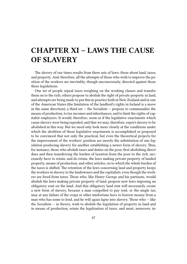### <span id="page-46-0"></span>**CHAPTER XI – LAWS THE CAUSE OF SLAVERY**

The slavery of our times results from three sets of laws: those about land, taxes, and property. And, therefore, all the attempts of those who wish to improve the position of the workers are inevitably, though unconsciously, directed against those three legislations.

One set of people repeal taxes weighing on the working classes and transfer them on to the rich; others propose to abolish the right of private property in land, and attempts are being made to put this in practice both in New Zealand and in one of the American States (the limitation of the landlord's rights in Ireland is a move in the same direction); a third set -- the Socialists -- propose to communalise the means of production, to tax incomes and inheritances, and to limit the rights of capitalist employers. It would, therefore, seem as if the legislative enactments which cause slavery were being repealed, and that we may, therefore, expect slavery to be abolished in this way. But we need only look more closely at the conditions under which the abolition of those legislative enactments is accomplished or proposed to be convinced that not only the practical, but even the theoretical projects for the improvement of the workers' position are merely the substitution of one legislation producing slavery for another establishing a newer form of slavery. Thus, for instance, those who abolish taxes and duties on the poor, first abolishing direct dues and then transferring the burden of taxation from the poor to the rich, necessarily have to retain, and do retain, the laws making private property of landed property, means of production, and other articles, on to which the whole burden of the taxes is shifted. The retention of the laws concerning land and property keeps the workers in slavery to the landowners and the capitalists, even though the workers are freed from taxes. Those who, like Henry George and his partisans, would abolish the laws making private property of land, propose new laws imposing an obligatory rent on the land. And this obligatory land rent will necessarily create a new form of slavery, because a man compelled to pay rent, or the single tax, may at any failure of the crops or other misfortune have to borrow money from a man who has some to lend, and he will again lapse into slavery. Those who -- like the Socialists -- in theory, wish to abolish the legislation of property in land and in means of production, retain the legalization of taxes, and must, moreover, in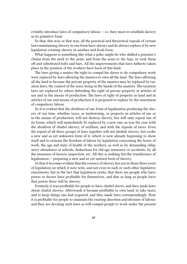evitably introduce laws of compulsory labour -- i.e. they must re-establish slavery in its primitive form.

So that, this way or that way, all the practical and theoretical repeals of certain laws maintaining slavery in one form have always and do always replace it by new legislation creating slavery in another and fresh form.

What happens is something like what a jailer might do who shifted a prisoner's chains from the neck to the arms, and from the arms to the legs, or took them off and substituted bolts and bars. All the improvements that have hitherto taken place in the position of the workers have been of this kind.

The laws giving a master the right to compel his slaves to do compulsory work were replaced by laws allowing the masters to own all the land. The laws allowing all the land to become the private property of the masters may be replaced by taxation laws, the control of the taxes being in the hands of the masters. The taxation laws are replaced by others defending the right of private property in articles of use and in the means of production. The laws of right of property in land and in articles of use and means of production it is proposed to replace by the enactment of compulsory labour.

So it is evident that the abolition of one form of legalization producing the slavery of our time, whether taxes, or landowning, or property in articles of use or in the means of production, will not destroy slavery, but will only repeal one of its forms, which will immediately be replaced by a new one, as was the case with the abolition of chattel slavery, of serfdom, and with the repeals of taxes. Even the repeal of all three groups of laws together will not abolish slavery, but evoke a new and as yet unknown form of it, which is now already beginning to show itself and to restrain the freedom of labour by legislation concerning the hours of work, the age and state of health of the workers, as well as by demanding obligatory attendance at schools, deductions for old-age insurance or accidents, by all the measures of factory inspection, etc. All this is nothing but the transference of legalization -- preparing a new and as yet untried form of slavery.

So that it becomes evident that the essence of slavery lies not in those three roots of legislation on which it now rests, and not even in such or such other legislative enactments, but in the fact that legislation exists; that there are people who have power to decree laws profitable for themselves, and that as long as people have that power there will be slavery.

Formerly it was profitable for people to have chattel slaves, and they made laws about chattel slavery. Afterwards it became profitable to own land, to take taxes, and to keep things one had acquired, and they made laws correspondingly. Now it is profitable for people to maintain the existing direction and division of labour; and they are devising such laws as will compel people to work under the present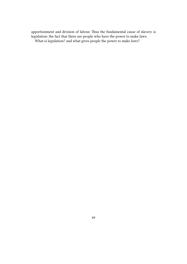apportionment and division of labour. Thus the fundamental cause of slavery is legislation: the fact that there are people who have the power to make laws. What is legislation? and what gives people the power to make laws?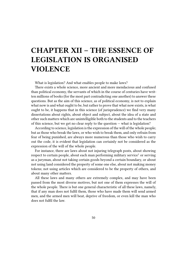## <span id="page-49-0"></span>**CHAPTER XII – THE ESSENCE OF LEGISLATION IS ORGANISED VIOLENCE**

What is legislation? And what enables people to make laws?

There exists a whole science, more ancient and more mendacious and confused than political economy, the servants of which in the course of centuries have written millions of books (for the most part contradicting one another) to answer these questions. But as the aim of this science, as of political economy, is not to explain what now is and what ought to be, but rather to prove that what now exists, is what ought to be, it happens that in this science (of jurisprudence) we find very many dissertations about rights, about object and subject, about the idea of a state and other such matters which are unintelligible both to the students and to the teachers of this science, but we get no clear reply to the question -- what is legislation?

According to science, legislation is the expression of the will of the whole people; but as those who break the laws, or who wish to break them, and only refrain from fear of being punished, are always more numerous than those who wish to carry out the code, it is evident that legislation can certainly not be considered as the expression of the will of the whole people.

For instance, there are laws about not injuring telegraph posts, about showing respect to certain people, about each man performing military service<sup>1</sup> or serving as a juryman, about not taking certain goods beyond a certain boundary, or about not using land considered the property of some one else, about not making money tokens; not using articles which are considered to be the property of others, and about many other matters.

All these laws and many others are extremely complex, and may have been passed from the most diverse motives, but not one of them expresses the will of the whole people. There is but one general characteristic of all these laws, namely, that if any man does not fulfil them, those who have made them will send armed men, and the armed men will beat, deprive of freedom, or even kill the man who does not fulfil the law.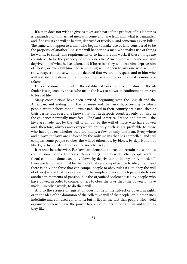If a man does not wish to give as taxes such part of the produce of his labour as is demanded of him, armed men will come and take from him what is demanded, and if he resists he will be beaten, deprived of freedom, and sometimes even killed. The same will happen to a man who begins to make use of land considered to be the property of another. The same will happen to a man who makes use of things he wants, to satisfy his requirements or to facilitate his work, if these things are considered to be the property of some one else. Armed men will come and will deprive him of what he has taken, and if he resists they will beat him, deprive him of liberty, or even kill him. The same thing will happen to any one who will not show respect to those whom it is decreed that we are to respect, and to him who will not obey the demand that he should go as a soldier, or who makes monetary tokens.

For every non-fulfillment of the established laws there is punishment: the offender is subjected by those who make the laws to blows, to confinement, or even to loss of life.

Many constitutions have been devised, beginning with the English and the American, and ending with the Japanese and the Turkish, according to which people are to believe that all laws established in their country are established at their desire. But every one knows that not in despotic countries only, but also in the countries nominally most free -- England, America, France, and others -- the laws are made, not by the will of all, but by the will of those who have power; and, therefore, always and everywhere are only such as are profitable to those who have power: whether they are many, a few, or only one man. Everywhere and always the laws are enforced by the only means that has compelled, and still compels, some people to obey the will of others, i.e. by blows, by deprivation of liberty, or by murder. There can be no other way.

It cannot be otherwise. For laws are demands to execute certain rules; and to compel some people to obey certain rules (i.e. to do what other people want of them) cannot be done except by blows, by deprivation of liberty, or by murder. If there are laws, there must be the force that can compel people to obey them, and there is only one force that can compel people to obey rules (i.e. to obey the will of others) -- and that is violence; not the simple violence which people do to one another in moments of passion, but the organized violence used by people who have power, in order to compel others to obey the laws they (the powerful) have made -- in other words, to do their will.

And so the essence of legislation does not lie in the subject or object, in rights or in the idea of the dominion of the collective will of the people, or in other such indefinite and confused conditions; but it lies in the fact that people who wield organized violence have the power to compel others to obey them and to do as they like.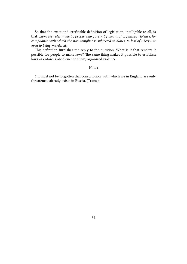So that the exact and irrefutable definition of legislation, intelligible to all, is that: *Laws are rules made by people who govern by means of organized violence, for compliance with which the non-complier is subjected to blows, to loss of liberty, or even to being murdered.*

This definition furnishes the reply to the question, What is it that renders it possible for people to make laws? The same thing makes it possible to establish laws as enforces obedience to them, organized violence.

#### Notes

1 It must not be forgotten that conscription, with which we in England are only threatened, already exists in Russia. (Trans.).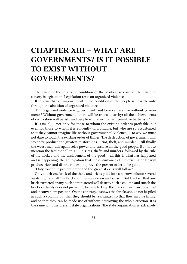## <span id="page-52-0"></span>**CHAPTER XIII – WHAT ARE GOVERNMENTS? IS IT POSSIBLE TO EXIST WITHOUT GOVERNMENTS?**

The cause of the miserable condition of the workers is slavery. The cause of slavery is legislation. Legislation rests on organized violence.

It follows that an improvement in the condition of the people is possible only through the abolition of organized violence.

"But organized violence is government, and how can we live without governments? Without governments there will be chaos, anarchy; all the achievements of civilization will perish, and people will revert to their primitive barbarism."

It is usual, -- not only for those to whom the existing order is profitable, but even for those to whom it is evidently unprofitable, but who are so accustomed to it they cannot imagine life without governmental violence, -- to say we must not dare to touch the existing order of things. The destruction of government will, say they, produce the greatest misfortunes -- riot, theft, and murder -- till finally the worst men will again seize power and enslave all the good people. But not to mention the fact that all this -- i.e. riots, thefts and murders, followed by the rule of the wicked and the enslavement of the good -- all this is what has happened and is happening, the anticipation that the disturbance of the existing order will produce riots and disorder does not prove the present order to be good.

"Only touch the present order and the greatest evils will follow."

Only touch one brick of the thousand bricks piled into a narrow column several yards high and all the bricks will tumble down and smash! But the fact that any brick extracted or any push administered will destroy such a column and smash the bricks certainly does not prove it to be wise to keep the bricks in such an unnatural and inconvenient position. On the contrary, it shows that bricks should not be piled in such a column, but that they should be rearranged so that they may lie firmly, and so that they can be made use of without destroying the whole erection. It is the same with the present state organizations. The state organization is extremely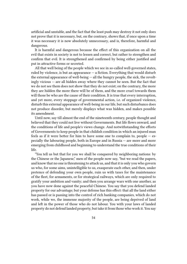artificial and unstable, and the fact that the least push may destroy it not only does not prove that it is necessary, but, on the contrary, shows that, if once upon a time it was necessary it is now absolutely unnecessary, and is, therefore, harmful and dangerous.

It is harmful and dangerous because the effect of this organization on all the evil that exists in society is not to lessen and correct, but rather to strengthen and confirm that evil. It is strengthened and confirmed by being either justified and put in attractive forms or secreted.

All that well being of the people which we see in so-called well-governed states, ruled by violence, is but an appearance -- a fiction. Everything that would disturb the external appearance of well-being -- all the hungry people, the sick, the revoltingly vicious -- are all hidden away where they cannot be seen. But the fact that we do not see them does not show that they do not exist; on the contrary, the more they are hidden the more there will be of them, and the more cruel towards them will those be who are the cause of their condition. It is true that every interruption, and yet more, every stoppage of governmental action, i.e. of organized violence, disturb this external appearance of well-being in our life, but such disturbance does not produce disorder, but merely displays what was hidden, and makes possible its amendment.

Until now, say till almost the end of the nineteenth century, people thought and believed that they could not live without Governments. But life flows onward, and the conditions of life and people's views change. And notwithstanding the efforts of Governments to keep people in that childish condition in which an injured man feels as if it were better for him to have some one to complain to, people -- especially the labouring people, both in Europe and in Russia -- are more and more emerging from childhood and beginning to understand the true conditions of their life.

"You tell us but that for you we shall be conquered by neighboring nations: by the Chinese or the Japanese," men of the people now say, "but we read the papers, and know that no one is threatening to attack us, and that it is only you who govern us who, for some aims, unintelligible to us, exasperate each other, and then, under pretence of defending your own people, ruin us with taxes for the maintenance of the fleet, for armaments, or for strategical railways, which are only required to gratify your ambition and vanity; and then you arrange wars with one another, as you have now done against the peaceful Chinese. You say that you defend landed property for our advantage; but your defense has this effect: that all the land either has passed or is passing into the control of rich banking companies, which do not work, while we, the immense majority of the people, are being deprived of land and left in the power of those who do not labour. You with your laws of landed property do not defend landed property, but take it from those who work it. You say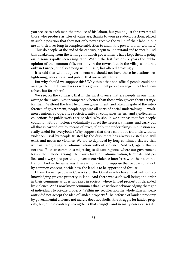you secure to each man the produce of his labour, but you do just the reverse; all those who produce articles of value are, thanks to your pseudo-protection, placed in such a position that they not only never receive the value of their labour, but are all their lives long in complete subjection to and in the power of non-workers."

Thus do people, at the end of the century, begin to understand and to speak. And this awakening from the lethargy in which governments have kept them is going on in some rapidly increasing ratio. Within the last five or six years the public opinion of the common folk, not only in the towns, but in the villages, and not only in Europe, but also among us in Russia, has altered amazingly.

It is said that without governments we should not have those institutions, enlightening, educational and public, that are needful for all.

But why should we suppose this? Why think that non-official people could not arrange their life themselves as well as government people arrange it, not for themselves, but for others?

We see, on the contrary, that in the most diverse matters people in our times arrange their own lives incomparably better than those who govern them arrange for them. Without the least help from government, and often in spite of the interference of government, people organize all sorts of social undertakings -- workmen's unions, co-operative societies, railway companies, *artels*, 1 and syndicates. If collections for public works are needed, why should we suppose that free people could not without violence voluntarily collect the necessary means, and carry out all that is carried out by means of taxes, if only the undertakings in question are really useful for everybody? Why suppose that there cannot be tribunals without violence? Trial by people trusted by the disputants has always existed and will exist, and needs no violence. We are so depraved by long-continued slavery that we can hardly imagine administration without violence. And yet, again, that is not true: Russian communes migrating to distant regions, where our government leaves them alone, arrange their own taxation, administration, tribunals, and police, and always prosper until government violence interferes with their administration. And in the same way, there is no reason to suppose that people could not, by common consent, decide how the land is to be apportioned for use.

I have known people -- Cossacks of the Oural -- who have lived without acknowledging private property in land. And there was such well-being and order in their commune as does not exist in society, where landed property is defended by violence. And I now know communes that live without acknowledging the right of individuals to private property. Within my recollection the whole Russian peasantry did not accept the idea of landed property.<sup>2</sup> The defense of landed property by governmental violence not merely does not abolish the struggle for landed property, but, on the contrary, strengthens that struggle, and in many cases causes it.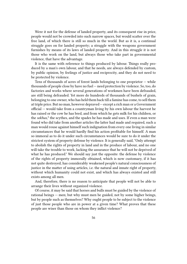Were it not for the defense of landed property, and its consequent rise in price, people would not be crowded into such narrow spaces, but would scatter over the free land, of which there is still so much in the world. But as it is, a continual struggle goes on for landed property; a struggle with the weapons government furnishes by means of its laws of landed property. And in this struggle it is not those who work on the land, but always those who take part in governmental violence, that have the advantage.

It is the same with reference to things produced by labour. Things really produced by a man's own labour, and that he needs, are always defended by custom, by public opinion, by feelings of justice and reciprocity, and they do not need to be protected by violence.

Tens of thousands of acres of forest lands belonging to one proprietor -- while thousands of people close by have no fuel -- need protection by violence. So, too, do factories and works where several generations of workmen have been defrauded, are still being defrauded. Yet more do hundreds of thousands of bushels of grain, belonging to one owner, who has held them back till a famine has come, to sell them at triple price. But no man, however depraved -- except a rich man or a Government official -- would take from a countryman living by his own labour the harvest he has raised or the cow he has bred, and from which he gets milk for his children, or the *sokhas*,<sup>3</sup> the scythes, and the spades he has made and uses. If even a man were found who did take from another articles the latter had made and required, such a man would rouse against himself such indignation from every one living in similar circumstances that he would hardly find his action profitable for himself. A man so immoral as to do it under such circumstances would be sure to do it under the strictest system of property defense by violence. It is generally said, "Only attempt to abolish the rights of property in land and in the produce of labour, and no one will take the trouble to work, lacking the assurance that he will not be deprived of what he has produced." We should say just the opposite: the defense by violence of the rights of property immorally obtained, which is now customary, if it has not quite destroyed, has considerably weakened people's natural consciousness of justice in the matter of using articles, i.e. the natural and innate right of property, without which humanity could not exist, and which has always existed and still exists among all men.

And, therefore, there is no reason to anticipate that people will not be able to arrange their lives without organized violence.

Of course, it may be said that horses and bulls must be guided by the violence of rational beings -- men; but why must men be guided, not by some higher beings, but by people such as themselves? Why ought people to be subject to the violence of just those people who are in power at a given time? What proves that these people are wiser than those on whom they inflict violence?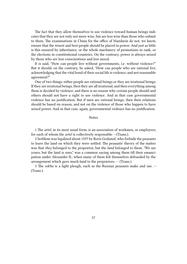The fact that they allow themselves to use violence toward human beings indicates that they are not only not more wise, but are less wise than those who submit to them. The examinations in China for the office of Mandarin do not, we know, ensure that the wisest and best people should be placed in power. And just as little is this ensured by inheritance, or the whole machinery of promotions in rank, or the elections in constitutional countries. On the contrary, power is always seized by those who are less conscientious and less moral.

It is said, "How can people live without governments, i.e. without violence?" But it should, on the contrary, be asked, "How can people who are rational live, acknowledging that the vital bond of their social life is violence, and not reasonable agreement?"

One of two things: either people are rational beings or they are irrational beings. If they are irrational beings, then they are all irrational, and then everything among them is decided by violence; and there is no reason why certain people should and others should not have a right to use violence. And in that case governmental violence has no justification. But if men are rational beings, then their relations should be based on reason, and not on the violence of those who happen to have seized power. And in that case, again, governmental violence has no justification.

#### Notes

1 The *artel*, in its most usual form, is an association of workmen, or employees, for each of whom the *artel* is collectively responsible. --(Trans.).

2 Serfdom was legalized about 1597 by Boris Godunof, who forbade the peasants to leave the land on which they were settled. The peasants' theory of the matter was that *they* belonged to the proprietor, but the *land* belonged to them. "We are yours, but the land is ours," was a common saying among them till their emancipation under Alexander II., when many of them felt themselves defrauded by the arrangement which gave much land to the proprietors. -- (Trans.).

3 The *sokha* is a light plough, such as the Russian peasants make and use. -- (Trans.).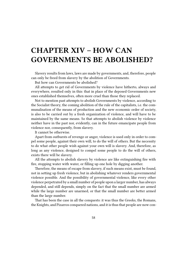### <span id="page-57-0"></span>**CHAPTER XIV – HOW CAN GOVERNMENTS BE ABOLISHED?**

Slavery results from laws, laws are made by governments, and, therefore, people can only be freed from slavery by the abolition of Governments.

But how can Governments be abolished?

All attempts to get rid of Governments by violence have hitherto, always and everywhere, resulted only in this: that in place of the deposed Governments new ones established themselves, often more cruel than those they replaced.

Not to mention past attempts to abolish Governments by violence, according to the Socialist theory, the coming abolition of the rule of the capitalists, i.e. the communalisation of the means of production and the new economic order of society, is also to be carried out by a fresh organization of violence, and will have to be maintained by the same means. So that attempts to abolish violence by violence neither have in the past nor, evidently, can in the future emancipate people from violence nor, consequently, from slavery.

It cannot be otherwise.

Apart from outbursts of revenge or anger, violence is used only in order to compel some people, against their own will, to do the will of others. But the necessity to do what other people wish against your own will is slavery. And, therefore, as long as any violence, designed to compel some people to do the will of others, exists there will be slavery.

All the attempts to abolish slavery by violence are like extinguishing fire with fire, stopping water with water, or filling up one hole by digging another.

Therefore, the means of escape from slavery, if such means exist, must be found, not in setting up fresh violence, but in abolishing whatever renders governmental violence possible. And the possibility of governmental violence, like every other violence perpetrated by a small number of people upon a larger number, has always depended, and still depends, simply on the fact that the small number are armed while the large number are unarmed, or that the small number are better armed than the large number.

That has been the case in all the conquests: it was thus the Greeks, the Romans, the Knights, and Pizarros conquered nations, and it is thus that people are now con-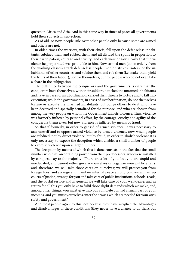quered in Africa and Asia. And in this same way in times of peace all governments hold their subjects in subjection.

As of old, so now, people rule over other people only because some are armed and others are not.

In olden times the warriors, with their chiefs, fell upon the defenseless inhabitants, subdued them and robbed them, and all divided the spoils in proportion to their participation, courage and cruelty; and each warrior saw clearly that the violence he perpetrated was profitable to him. Now, armed men (taken chiefly from the working classes) attack defenseless people: men on strikes, rioters, or the inhabitants of other countries, and subdue them and rob them (i.e. make them yield the fruits of their labour), not for themselves, but for people who do not even take a share in the subjugation.

The difference between the conquerors and the governments is only that the conquerors have themselves, with their soldiers, attacked the unarmed inhabitants and have, in cases of insubordination, carried their threats to torture and to kill into execution; while the governments, in cases of insubordination, do not themselves torture or execute the unarmed inhabitants, but oblige others to do it who have been deceived and specially brutalized for the purpose, and who are chosen from among the very people on whom the Government inflicts violence. Thus, violence was formerly inflicted by personal effort, by the courage, cruelty and agility of the conquerors themselves; but now violence is inflicted by means of fraud.

So that if formerly, in order to get rid of armed violence, it was necessary to arm oneself and to oppose armed violence by armed violence, now when people are subdued, not by direct violence, but by fraud, in order to abolish violence it is only necessary to expose the deception which enables a small number of people to exercise violence upon a larger number.

The deception by means of which this is done consists in the fact that the small number who rule, on obtaining power from their predecessors, who were installed by conquest, say to the majority: "There are a lot of you, but you are stupid and uneducated, and cannot either govern yourselves or organize your public affairs, and, therefore, we will take those cares on ourselves; we will protect you from foreign foes, and arrange and maintain internal peace among you; we will set up courts of justice, arrange for you and take care of public institutions: schools, roads, and the postal service and in general we will take care of your well-being; and in return for all this you only have to fulfil those slight demands which we make, and, among other things, you must give into our complete control a small part of your incomes, and you must yourselves enter the armies which are needed for your own safety and government."

And most people agree to this, not because they have weighed the advantages and disadvantages of these conditions (they never have a chance to do that), but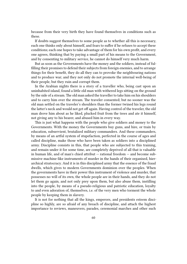because from their very birth they have found themselves in conditions such as these.

If doubts suggest themselves to some people as to whether all this is necessary, each one thinks only about himself, and fears to suffer if he refuses to accept these conditions; each one hopes to take advantage of them for his own profit, and every one agrees, thinking that by paying a small part of his means to the Government, and by consenting to military service, he cannot do himself very much harm.

But as soon as the Governments have the money and the soldiers, instead of fulfilling their promises to defend their subjects from foreign enemies, and to arrange things for their benefit, they do all they can to provoke the neighbouring nations and to produce war; and they not only do not promote the internal well-being of their people, but they ruin and corrupt them.

In the Arabian nights there is a story of a traveller who, being cast upon an uninhabited island, found a little old man with withered legs sitting on the ground by the side of a stream. The old man asked the traveller to take him on his shoulders and to carry him over the stream. The traveler consented; but no sooner was the old man settled on the traveler's shoulders than the former twined his legs round the latter's neck and would not get off again. Having control of the traveler, the old man drove him about as he liked, plucked fruit from the trees and ate it himself, not giving any to his bearer, and abused him in every way.

This is just what happens with the people who give soldiers and money to the Governments. With the money the Governments buy guns, and hire, or train by education, subservient, brutalized military commanders. And these commanders, by means of an artful system of stupefaction, perfected in the course of ages and called discipline, make those who have been taken as soldiers into a disciplined army. Discipline consists in this, that people who are subjected to this training, and remain under it for some time, are completely deprived of all that is valuable in human life, and of man's chied attribut -- rational freedom -- and become submissive machine-like instruments of murder in the hands of their organised, hierarchical stratocracy. And it is in this disciplined army that the essence of the fraud dwells, which gives to modern Governments dominion over the peoples. When the governments have in their power this instrument of violence and murder, that possesses no will of its own, the whole people are in their hands, and they do not let them go again, and not only prey upon them, but also abuse them, instilling into the people, by means of a pseudo-religious and patriotic education, loyalty to and even adoration of, themselves, i.e. of the very men who torment the whole people by keeping them in slavery.

It is not for nothing that all the kings, emperors, and presidents esteem discipline so highly, are so afraid of any breach of discipline, and attach the highest importance to reviews, maneuvers, parades, ceremonial marches and other such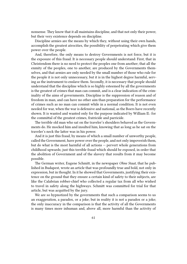nonsense. They know that it all maintains discipline, and that not only their power, but their very existence depends on discipline.

Discipline armies are the means by which they, without using their own hands, accomplish the greatest atrocities, the possibility of perpetrating which give them power over the people.

And, therefore, the only means to destroy Governments is not force, but it is the exposure of this fraud. It is necessary people should understand: First, that in Christendom there is no need to protect the peoples one from another; that all the enmity of the peoples, one to another, are produced by the Governments themselves, and that armies are only needed by the small number of those who rule for the people it is not only unnecessary, but it is in the highest degree harmful, serving as the instrument to enslave them. Secondly, it is necessary that people should understand that the discipline which is so highly esteemed by all the governments is the greatest of crimes that man can commit, and is a clear indication of the criminality of the aims of governments. Discipline is the suppression of reason and of freedom in man, and can have no other aim than preparation for the performance of crimes such as no man can commit while in a normal condition. It is not even needed for war, when the war is defensive and national, as the Boers have recently shown. It is wanted and wanted only for the purpose indicated by William II.: for the committal of the greatest crimes, fratricide and parricide.

The terrible old man who sat on the traveler's shoulders behaved as the Governments do. He mocked him and insulted him, knowing that as long as he sat on the traveler's neck the latter was in his power.

And it is just this fraud, by means of which a small number of unworthy people, called the Government, have power over the people, and not only impoverish them, but do what is the most harmful of all actions -- pervert whole generations from childhood upwards; just this terrible fraud which should be exposed, in order that the abolition of Government and of the slavery that results from it may become possible.

The German writer, Eugene Schmitt, in the newspaper *Ohne Staat*, that he published in Budapest, wrote an article that was profoundly true and bold, not only in expression, but in thought. In it he showed that Governments, justifying their existence on the ground that they ensure a certain kind of safety to their subjects, are like the Calabrian robber-chief who collected a regular tax from all who wished to travel in safety along the highways. Schmitt was committed for trial for that article, but was acquitted by the jury.

We are so hypnotized by the governments that such a comparison seems to us an exaggeration, a paradox, or a joke; but in reality it is not a paradox or a joke; the only inaccuracy in the comparison is that the activity of all the Governments is many times more inhuman and, above all, more harmful than the activity of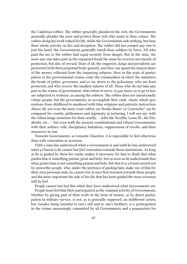the Calabrian robber. The robber generally plundered the rich; the Governments generally plunder the poor and protect those rich who assist in their crimes. The robber doing his work risked his life, while the Governments risk nothing, but base their whole activity on lies and deception. The robber did not compel any one to join his band, the Governments generally enroll their soldiers by force. All who paid the tax to the robber had equal security from danger. But in the state, the more any one takes part in the organized fraud the more he receives not merely of protection, but also of reward. Most of all, the emperors, kings and presidents are protected (with their perpetual body-guards), and they can spend the largest share of the money collected from the taxpaying subjects. Next in the scale of participation in the governmental crimes come the commanders-in-chief, the ministers, the heads of police, governors, and so on, down to the policemen, who are least protected, and who receive the smallest salaries of all. Those who do not take any part in the crimes of government, who refuse to serve, to pay taxes, or to go to law, are subjected to violence; as among the robbers. The robber does not intentionally vitiate people; but the governments, to accomplish their ends, vitiate whole generations from childhood to manhood with false religions and patriotic instruction. Above all, not even the most cruel robber, no Stenka Razin $^1$  or Cartouche $^2$  can be compared for cruelty, pitilessness and ingenuity in torturing, I will not say with the villain kings notorious for their cruelty, -- John the Terrible, Louis XI., the Elizabeths, etc., -- but even with the present constitutional and Liberal Governments, with their solitary cells, disciplinary battalions, suppressions of revolts, and their massacres in war.

Towards Governments, as towards Churches, it is impossible to feel otherwise than with veneration or aversion.

Until a man has understood what a Government is and until he has understood what a Church is he cannot but feel veneration towards those institutions. As long as he is guided by them his vanity makes it necessary for him to think that what guides him is something primal, great and holy; but as soon as he understands that what guides him is not something primal and holy, but that it is a fraud carried out by unworthy people, who, under the pretence of guiding him, make use of him for their own personal ends, he cannot but at once feel aversion towards these people, and the more important the side of his life that has been guided the more aversion will he feel.

People cannot but feel this when they have understood what Governments are.

People must feel that their participation in the criminal activity of Governments, whether by giving part of their work in the form of money, or by direct participation in military service, is not, as is generally supposed, an indifferent action, but, besides being harmful to one's self and to one's brothers, is a participation in the crimes unceasingly committed by all Governments and a preparation for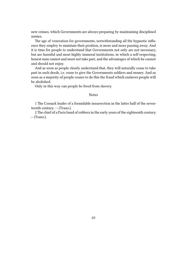new crimes, which Governments are always preparing by maintaining disciplined armies.

The age of veneration for governments, notwithstanding all the hypnotic influence they employ to maintain their position, is more and more passing away. And it is time for people to understand that Governments not only are not necessary, but are harmful and most highly immoral institutions, in which a self-respecting, honest man cannot and must not take part, and the advantages of which he cannot and should not enjoy.

And as soon as people clearly understand that, they will naturally cease to take part in such deeds, i.e. cease to give the Governments soldiers and money. And as soon as a majority of people ceases to do this the fraud which enslaves people will be abolished.

Only in this way can people be freed from slavery.

#### Notes

1 The Cossack leader of a formidable insurrection in the latter half of the seventeenth century. -- (Trans.).

2 The chief of a Paris band of robbers in the early years of the eighteenth century. -- (Trans.).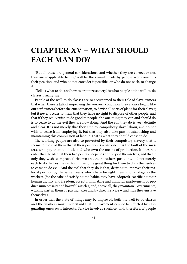### **CHAPTER XV – WHAT SHOULD EACH MAN DO?**

"But all these are general considerations, and whether they are correct or not, they are inapplicable to life," will be the remark made by people accustomed to their position, and who do not consider it possible, or who do not wish, to change it.

"Tell us what to do, and how to organize society," is what people of the well-to-do classes usually say.

People of the well-to-do classes are so accustomed to their role of slave owners that when there is talk of improving the workers' condition, they at once begin, like our serf owners before the emancipation, to devise all sorts of plans for their slaves; but it never occurs to them that they have no right to dispose of other people, and that if they really wish to do good to people, the one thing they can and should do is to cease to do the evil they are now doing. And the evil they do is very definite and clear. It is not merely that they employ compulsory slave labour, and do not wish to cease from employing it, but that they also take part in establishing and maintaining this compulsion of labour. That is what they should cease to do.

The working people are also so perverted by their compulsory slavery that it seems to most of them that if their position is a bad one, it is the fault of the masters, who pay them too little and who own the means of production. It does not enter their heads that their bad position depends entirely on themselves, and that if only they wish to improve their own and their brothers' positions, and not merely each to do the best he can for himself, the great thing for them to do is themselves to cease to do evil. And the evil that they do is that, desiring to improve their material position by the same means which have brought them into bondage, -- the workers (for the sake of satisfying the habits they have adopted), sacrificing their human dignity and freedom, accept humiliating and immoral employment or produce unnecessary and harmful articles, and, above all, they maintain Governments, -- taking part in them by paying taxes and by direct service -- and thus they enslave themselves.

In order that the state of things may be improved, both the well-to-do classes and the workers must understand that improvement cannot be effected by safeguarding one's own interests. Service involves sacrifice, and, therefore, if people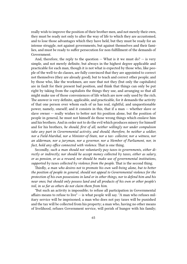really wish to improve the position of their brother men, and not merely their own, they must be ready not only to alter the way of life to which they are accustomed, and to lose those advantages which they have held, but they must be ready for an intense struggle, not against governments, but against themselves and their families, and must be ready to suffer persecution for non-fulfillment of the demands of Government.

And, therefore, the reply to the question -- What is it we must do? -- is very simple, and not merely definite, but always in the highest degree applicable and practicable for each man, though it is not what is expected by those who, like people of the well-to-do classes, are fully convinced that they are appointed to correct not themselves (they are already good), but to teach and correct other people; and by those who, like the workmen, are sure that not they (but only the capitalists) are in fault for their present bad position, and think that things can only be put right by taking from the capitalists the things they use, and arranging so that all might make use of those conveniences of life which are now only used by the rich. The answer is very definite, applicable, and practicable, for it demands the activity of that one person over whom each of us has real, rightful, and unquestionable power, namely, oneself; and it consists in this, that if a man -- whether slave or slave owner -- really wishes to better not *his* position alone, but the position of people in general, he must not himself do those wrong things which enslave him and his brothers. And in order not to do the evil which produces misery for himself and for his brothers, *he should, first of all, neither willingly nor under compulsion take any part in Governmental activity, and should, therefore, be neither a soldier, nor a Field-Marshal, nor a Minister-of-State, nor a tax- collector, nor a witness, nor an alderman, nor a juryman, nor a governor, nor a Member of Parliament, nor, in fact, hold any office connected with violence.* That is one thing.

Secondly, *such a man should not voluntarily pay taxes to governments, either directly or indirectly; nor should he accept money collected by taxes, either as salary, or as pension, or as a reward; nor should he make use of governmental institutions, supported by taxes collected by violence from the people.* That is the second thing.

Thirdly, *a man who desires not to promote his own well-being alone, but to better the position of people in general, should not appeal to Governmental violence for the protection of his own possessions in land or in other things, nor to defend him and his near ones; but should only possess land and all products of his own or other people's toil, in so far as others do not claim them from him.*

"But such an activity is impossible; to refuse all participation in Governmental affairs means to refuse to live" -- is what people will say. "A man who refuses military service will be imprisoned; a man who does not pay taxes will be punished and the tax will be collected from his property; a man who, having no other means of livelihood, refuses Government service, will perish of hunger with his family;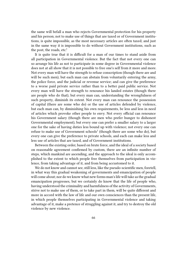the same will befall a man who rejects Governmental protection for his property and his person; not to make use of things that are taxed or of Government institutions, is quite impossible, as the most necessary articles are often taxed; and just in the same way it is impossible to do without Government institutions, such as the post, the roads, etc."

It is quite true that it is difficult for a man of our times to stand aside from all participation in Governmental violence. But the fact that not every one can so arrange his life as not to participate in some degree in Governmental violence does not at all show that it is not possible to free one's self from it more and more. Not every man will have the strength to refuse conscription (though there are and will be such men), but each man can abstain from voluntarily entering the army, the police force, and the judicial or revenue service; and can give the preference to a worse paid private service rather than to a better paid public service. Not every man will have the strength to renounce his landed estates (though there are people who do that), but every man can, understanding the wrongfulness of such property, diminish its extent. Not every man can renounce the possession of capital (there are some who do) or the use of articles defended by violence, but each man can, by diminishing his own requirements, be less and less in need of articles which provoke other people to envy. Not every official can renounce his Government salary (though there are men who prefer hunger to dishonest Governmental employment), but every one can prefer a smaller salary to a larger one for the sake of having duties less bound up with violence; not every one can refuse to make use of Government schools<sup>1</sup> (though there are some who do), but every one can give the preference to private schools, and each can make less and less use of articles that are taxed, and of Government institutions.

Between the existing order, based on brute force, and the ideal of a society based on reasonable agreement confirmed by custom, there are an infinite number of steps, which mankind are ascending, and the approach to the ideal is only accomplished to the extent to which people free themselves from participation in violence, from taking advantage of it, and from being accustomed to it.

We do not know and cannot see, still less, like the pseudo-scientific men, foretell, in what way this gradual weakening of governments and emancipation of people will come about; nor do we know what new forms man's life will take as the gradual emancipation progresses, but we certainly do know that the life of people who, having understood the criminality and harmfulness of the activity of Governments, strive not to make use of them, or to take part in them, will be quite different and more in accord with the law of life and our own consciences than the present life, in which people themselves participating in Governmental violence and taking advantage of it, make a pretence of struggling against it, and try to destroy the old violence by new violence.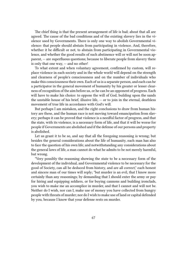The chief thing is that the present arrangement of life is bad; about that all are agreed. The cause of the bad conditions and of the existing slavery lies in the violence used by Governments. There is only one way to abolish Governmental violence: that people should abstain from participating in violence. And, therefore, whether it be difficult or not, to abstain from participating in Governmental violence, and whether the good results of such abstinence will or will not be soon apparent, -- are superfluous questions; because to liberate people from slavery there is only that one way, -- and no other!

To what extent and when voluntary agreement, confirmed by custom, will replace violence in each society and in the whole world will depend on the strength and clearness of people's consciousness and on the number of individuals who make this consciousness their own. Each of us is a separate person, and each can be a participator in the general movement of humanity by his greater or lesser clearness of recognition of the aim before us, or he can be an opponent of progress. Each will have to make his choice: to oppose the will of God, building upon the sands the unstable house of his brief, illusive life, -- or to join in the eternal, deathless movement of true life in accordance with God's will.

But perhaps I am mistaken, and the right conclusions to draw from human history are these, and the human race is not moving toward emancipation from slavery; perhaps it can be proved that violence is a needful factor of progress, and that the state, with its violence, is a necessary form of life, and that it will be worse for people if Governments are abolished and if the defense of our persons and property is abolished.

Let us grant it to be so, and say that all the foregoing reasoning is wrong; but besides the general considerations about the life of humanity, each man has also to face the question of his own life; and notwithstanding any considerations about the general laws of life, a man cannot do what he admits to be not merely harmful, but wrong.

"Very possibly the reasoning showing the state to be a necessary form of the development of the individual, and Governmental violence to be necessary for the good of Society, can all be deduced from history, and are all correct," each honest and sincere man of our times will reply; "but murder is an evil, that I know more certainly than any reasonings; by demanding that I should enter the army or pay for hiring and equipping soldiers, or for buying cannons and building ironclads, you wish to make me an accomplice in murder, and that I cannot and will not be. Neither do I wish, nor can I, make use of money you have collected from hungry people with threats of murder; nor do I wish to make use of land or capital defended by you, because I know that your defense rests on murder.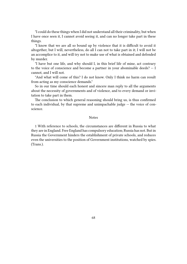"I could do these things when I did not understand all their criminality, but when I have once seen it, I cannot avoid seeing it, and can no longer take part in these things.

"I know that we are all so bound up by violence that it is difficult to avoid it altogether, but I will, nevertheless, do all I can not to take part in it; I will not be an accomplice to it, and will try not to make use of what is obtained and defended by murder.

"I have but one life, and why should I, in this brief life of mine, act contrary to the voice of conscience and become a partner in your abominable deeds? -- I cannot, and I will not.

"And what will come of this? I do not know. Only I think no harm can result from acting as my conscience demands."

So in our time should each honest and sincere man reply to all the arguments about the necessity of governments and of violence, and to every demand or invitation to take part in them.

The conclusion to which general reasoning should bring us, is thus confirmed to each individual, by that supreme and unimpachable judge -- the voice of conscience.

#### Notes

1 With reference to schools, the circumstances are different in Russia to what they are in England. Free England has compulsory education; Russia has not. But in Russia the Government hinders the establishment of private schools, and reduces even the universities to the position of Government institutions, watched by spies. (Trans.).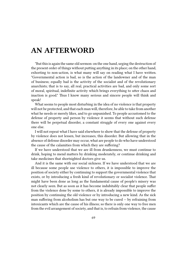### **AN AFTERWORD**

"But this is again the same old sermon: on the one hand, urging the destruction of the present order of things without putting anything in its place; on the other hand, exhorting to non-action, is what many will say on reading what I have written. "Governmental action is bad, so is the action of the landowner and of the man of business; equally bad is the activity of the socialist and of the revolutionary anarchists; that is to say, all real, practical activities are bad, and only some sort of moral, spiritual, indefinite activity which brings everything to utter chaos and inaction is good." Thus I know many serious and sincere people will think and speak!

What seems to people most disturbing in the idea of no violence is that property will not be protected, and that each man will, therefore, be able to take from another what he needs or merely likes, and to go unpunished. To people accustomed to the defense of property and person by violence it seems that without such defense there will be perpetual disorder, a constant struggle of every one against every one else.

I will not repeat what I have said elsewhere to show that the defense of property by violence does not lessen, but increases, this disorder. But allowing that in the absence of defense disorder may occur, what are people to do who have understood the cause of the calamities from which they are suffering?

If we have understood that we are ill from drunkenness, we must continue to drink, hoping to mend matters by drinking moderately, or continue drinking and take medicines that shortsighted doctors give us.

And it is the same with our social sickness. If we have understood that we are ill because some people use violence to others, it is impossible to improve the position of society either by continuing to support the governmental violence that exists, or by introducing a fresh kind of revolutionary or socialist violence. That might have been done as long as the fundamental cause of people's misery was not clearly seen. But as soon as it has become indubitably clear that people suffer from the violence done by some to others, it is already impossible to improve the position by continuing the old violence or by introducing a new kind. As the sick man suffering from alcoholism has but one way to be cured -- by refraining from intoxicants which are the cause of his illness; so there is only one way to free men from the evil arrangement of society, and that is, to refrain from violence, the cause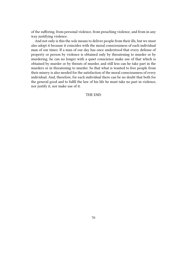of the suffering, from personal violence, from preaching violence, and from in any way justifying violence.

And not only is this the sole means to deliver people from their ills, but we must also adopt it because it coincides with the moral consciousness of each individual man of our times. If a man of our day has once understood that every defense of property or person by violence is obtained only by threatening to murder or by murdering, he can no longer with a quiet conscience make use of that which is obtained by murder or by threats of murder, and still less can he take part in the murders or in threatening to murder. So that what is wanted to free people from their misery is also needed for the satisfaction of the moral consciousness of every individual. And, therefore, for each individual there can be no doubt that both for the general good and to fulfil the law of his life he must take no part in violence, nor justify it, nor make use of it.

#### THE END